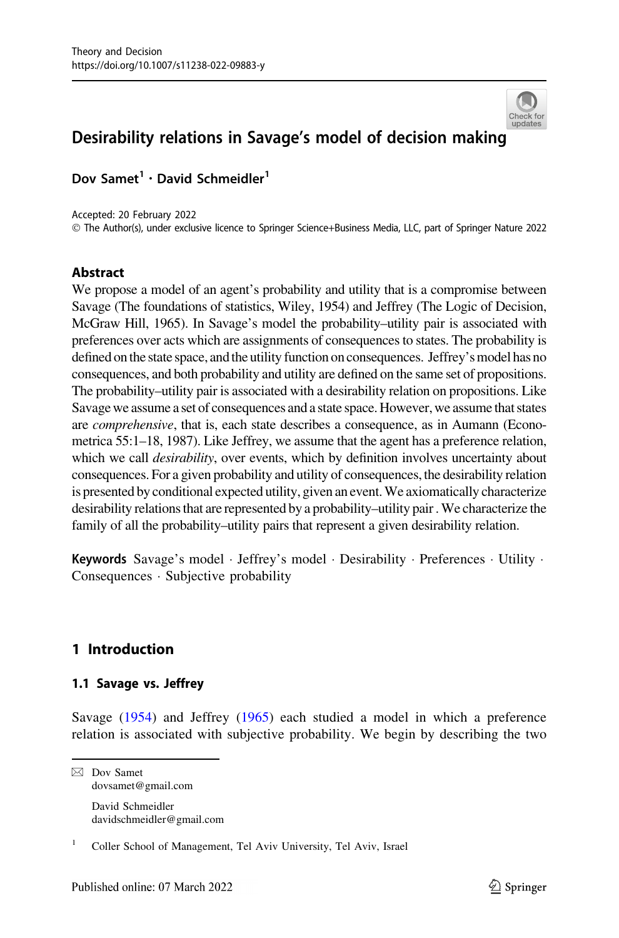

# Desirability relations in Savage's model of decision making

Dov Samet<sup>1</sup> · David Schmeidler<sup>1</sup>

Accepted: 20 February 2022 - The Author(s), under exclusive licence to Springer Science+Business Media, LLC, part of Springer Nature 2022

### Abstract

We propose a model of an agent's probability and utility that is a compromise between Savage (The foundations of statistics, Wiley, 1954) and Jeffrey (The Logic of Decision, McGraw Hill, 1965). In Savage's model the probability–utility pair is associated with preferences over acts which are assignments of consequences to states. The probability is defined on the state space, and the utility function on consequences. Jeffrey's model has no consequences, and both probability and utility are defined on the same set of propositions. The probability–utility pair is associated with a desirability relation on propositions. Like Savage we assume a set of consequences and a state space. However, we assume that states are comprehensive, that is, each state describes a consequence, as in Aumann (Econometrica 55:1–18, 1987). Like Jeffrey, we assume that the agent has a preference relation, which we call *desirability*, over events, which by definition involves uncertainty about consequences. For a given probability and utility of consequences, the desirability relation is presented by conditional expected utility, given an event. We axiomatically characterize desirability relations that are represented by a probability–utility pair . We characterize the family of all the probability–utility pairs that represent a given desirability relation.

Keywords Savage's model · Jeffrey's model · Desirability · Preferences · Utility · Consequences - Subjective probability

# 1 Introduction

### 1.1 Savage vs. Jeffrey

Savage [\(1954\)](#page-32-0) and Jeffrey [\(1965](#page-32-0)) each studied a model in which a preference relation is associated with subjective probability. We begin by describing the two

davidschmeidler@gmail.com

<sup>&</sup>amp; Dov Samet dovsamet@gmail.com David Schmeidler

<sup>&</sup>lt;sup>1</sup> Coller School of Management, Tel Aviv University, Tel Aviv, Israel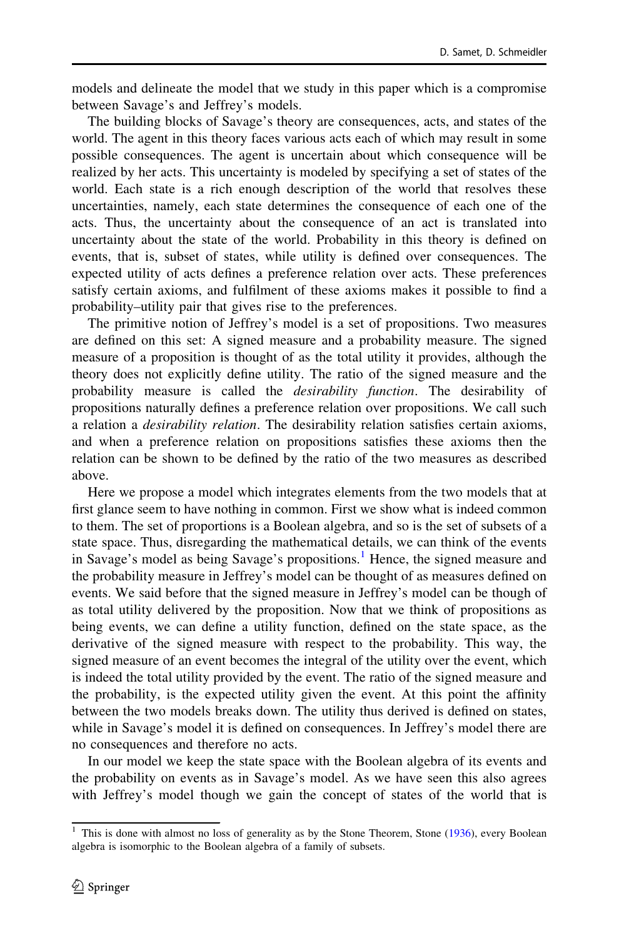models and delineate the model that we study in this paper which is a compromise between Savage's and Jeffrey's models.

The building blocks of Savage's theory are consequences, acts, and states of the world. The agent in this theory faces various acts each of which may result in some possible consequences. The agent is uncertain about which consequence will be realized by her acts. This uncertainty is modeled by specifying a set of states of the world. Each state is a rich enough description of the world that resolves these uncertainties, namely, each state determines the consequence of each one of the acts. Thus, the uncertainty about the consequence of an act is translated into uncertainty about the state of the world. Probability in this theory is defined on events, that is, subset of states, while utility is defined over consequences. The expected utility of acts defines a preference relation over acts. These preferences satisfy certain axioms, and fulfilment of these axioms makes it possible to find a probability–utility pair that gives rise to the preferences.

The primitive notion of Jeffrey's model is a set of propositions. Two measures are defined on this set: A signed measure and a probability measure. The signed measure of a proposition is thought of as the total utility it provides, although the theory does not explicitly define utility. The ratio of the signed measure and the probability measure is called the desirability function. The desirability of propositions naturally defines a preference relation over propositions. We call such a relation a desirability relation. The desirability relation satisfies certain axioms, and when a preference relation on propositions satisfies these axioms then the relation can be shown to be defined by the ratio of the two measures as described above.

Here we propose a model which integrates elements from the two models that at first glance seem to have nothing in common. First we show what is indeed common to them. The set of proportions is a Boolean algebra, and so is the set of subsets of a state space. Thus, disregarding the mathematical details, we can think of the events in Savage's model as being Savage's propositions.<sup>1</sup> Hence, the signed measure and the probability measure in Jeffrey's model can be thought of as measures defined on events. We said before that the signed measure in Jeffrey's model can be though of as total utility delivered by the proposition. Now that we think of propositions as being events, we can define a utility function, defined on the state space, as the derivative of the signed measure with respect to the probability. This way, the signed measure of an event becomes the integral of the utility over the event, which is indeed the total utility provided by the event. The ratio of the signed measure and the probability, is the expected utility given the event. At this point the affinity between the two models breaks down. The utility thus derived is defined on states, while in Savage's model it is defined on consequences. In Jeffrey's model there are no consequences and therefore no acts.

In our model we keep the state space with the Boolean algebra of its events and the probability on events as in Savage's model. As we have seen this also agrees with Jeffrey's model though we gain the concept of states of the world that is

 $1$  This is done with almost no loss of generality as by the Stone Theorem, Stone ([1936](#page-32-0)), every Boolean algebra is isomorphic to the Boolean algebra of a family of subsets.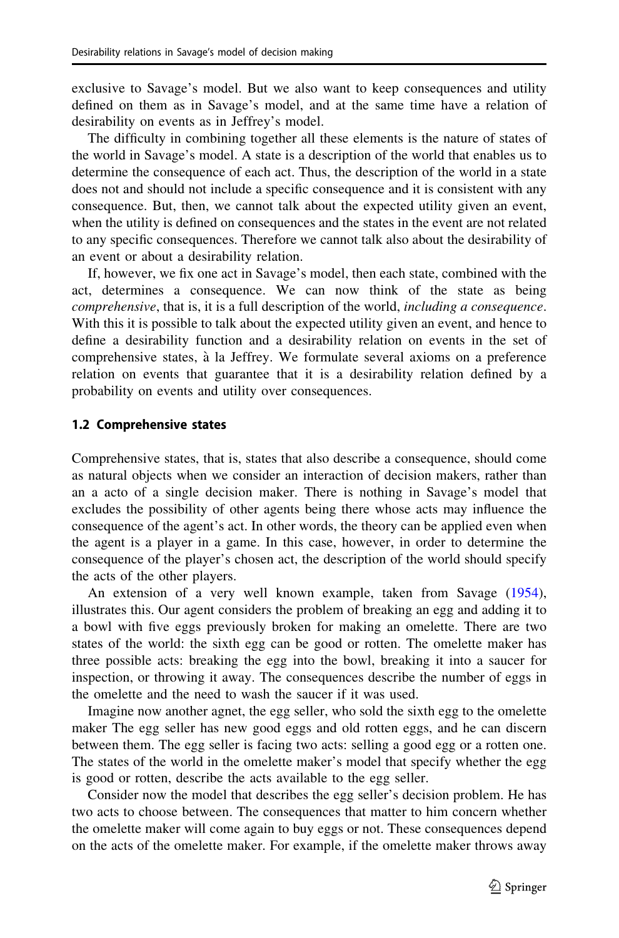exclusive to Savage's model. But we also want to keep consequences and utility defined on them as in Savage's model, and at the same time have a relation of desirability on events as in Jeffrey's model.

The difficulty in combining together all these elements is the nature of states of the world in Savage's model. A state is a description of the world that enables us to determine the consequence of each act. Thus, the description of the world in a state does not and should not include a specific consequence and it is consistent with any consequence. But, then, we cannot talk about the expected utility given an event, when the utility is defined on consequences and the states in the event are not related to any specific consequences. Therefore we cannot talk also about the desirability of an event or about a desirability relation.

If, however, we fix one act in Savage's model, then each state, combined with the act, determines a consequence. We can now think of the state as being comprehensive, that is, it is a full description of the world, including a consequence. With this it is possible to talk about the expected utility given an event, and hence to define a desirability function and a desirability relation on events in the set of comprehensive states, à la Jeffrey. We formulate several axioms on a preference relation on events that guarantee that it is a desirability relation defined by a probability on events and utility over consequences.

### 1.2 Comprehensive states

Comprehensive states, that is, states that also describe a consequence, should come as natural objects when we consider an interaction of decision makers, rather than an a acto of a single decision maker. There is nothing in Savage's model that excludes the possibility of other agents being there whose acts may influence the consequence of the agent's act. In other words, the theory can be applied even when the agent is a player in a game. In this case, however, in order to determine the consequence of the player's chosen act, the description of the world should specify the acts of the other players.

An extension of a very well known example, taken from Savage ([1954\)](#page-32-0), illustrates this. Our agent considers the problem of breaking an egg and adding it to a bowl with five eggs previously broken for making an omelette. There are two states of the world: the sixth egg can be good or rotten. The omelette maker has three possible acts: breaking the egg into the bowl, breaking it into a saucer for inspection, or throwing it away. The consequences describe the number of eggs in the omelette and the need to wash the saucer if it was used.

Imagine now another agnet, the egg seller, who sold the sixth egg to the omelette maker The egg seller has new good eggs and old rotten eggs, and he can discern between them. The egg seller is facing two acts: selling a good egg or a rotten one. The states of the world in the omelette maker's model that specify whether the egg is good or rotten, describe the acts available to the egg seller.

Consider now the model that describes the egg seller's decision problem. He has two acts to choose between. The consequences that matter to him concern whether the omelette maker will come again to buy eggs or not. These consequences depend on the acts of the omelette maker. For example, if the omelette maker throws away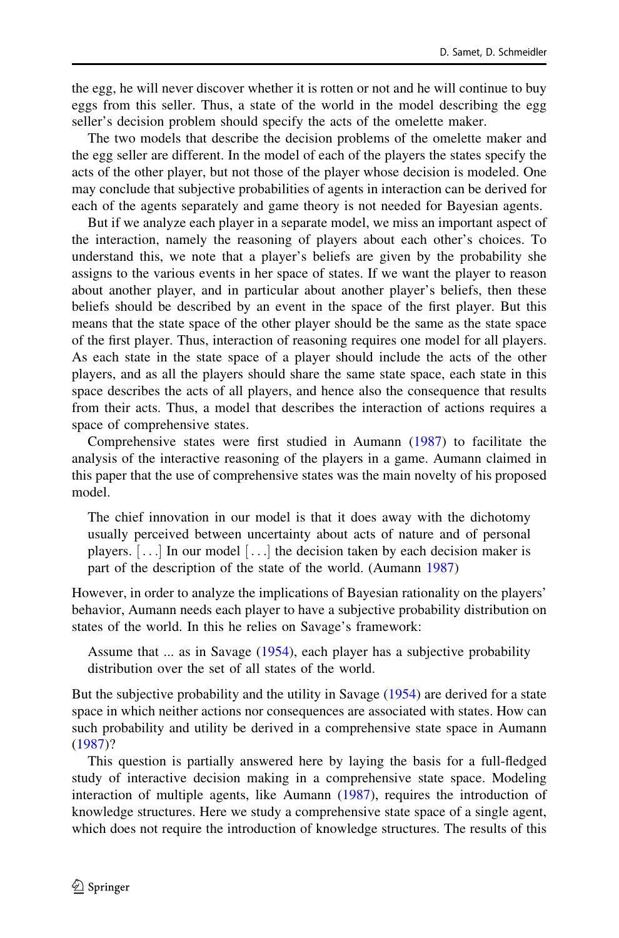the egg, he will never discover whether it is rotten or not and he will continue to buy eggs from this seller. Thus, a state of the world in the model describing the egg seller's decision problem should specify the acts of the omelette maker.

The two models that describe the decision problems of the omelette maker and the egg seller are different. In the model of each of the players the states specify the acts of the other player, but not those of the player whose decision is modeled. One may conclude that subjective probabilities of agents in interaction can be derived for each of the agents separately and game theory is not needed for Bayesian agents.

But if we analyze each player in a separate model, we miss an important aspect of the interaction, namely the reasoning of players about each other's choices. To understand this, we note that a player's beliefs are given by the probability she assigns to the various events in her space of states. If we want the player to reason about another player, and in particular about another player's beliefs, then these beliefs should be described by an event in the space of the first player. But this means that the state space of the other player should be the same as the state space of the first player. Thus, interaction of reasoning requires one model for all players. As each state in the state space of a player should include the acts of the other players, and as all the players should share the same state space, each state in this space describes the acts of all players, and hence also the consequence that results from their acts. Thus, a model that describes the interaction of actions requires a space of comprehensive states.

Comprehensive states were first studied in Aumann ([1987\)](#page-32-0) to facilitate the analysis of the interactive reasoning of the players in a game. Aumann claimed in this paper that the use of comprehensive states was the main novelty of his proposed model.

The chief innovation in our model is that it does away with the dichotomy usually perceived between uncertainty about acts of nature and of personal players.  $[\,\ldots]$  In our model  $[\,\ldots]$  the decision taken by each decision maker is part of the description of the state of the world. (Aumann [1987\)](#page-32-0)

However, in order to analyze the implications of Bayesian rationality on the players' behavior, Aumann needs each player to have a subjective probability distribution on states of the world. In this he relies on Savage's framework:

Assume that ... as in Savage [\(1954](#page-32-0)), each player has a subjective probability distribution over the set of all states of the world.

But the subjective probability and the utility in Savage ([1954\)](#page-32-0) are derived for a state space in which neither actions nor consequences are associated with states. How can such probability and utility be derived in a comprehensive state space in Aumann [\(1987](#page-32-0))?

This question is partially answered here by laying the basis for a full-fledged study of interactive decision making in a comprehensive state space. Modeling interaction of multiple agents, like Aumann [\(1987](#page-32-0)), requires the introduction of knowledge structures. Here we study a comprehensive state space of a single agent, which does not require the introduction of knowledge structures. The results of this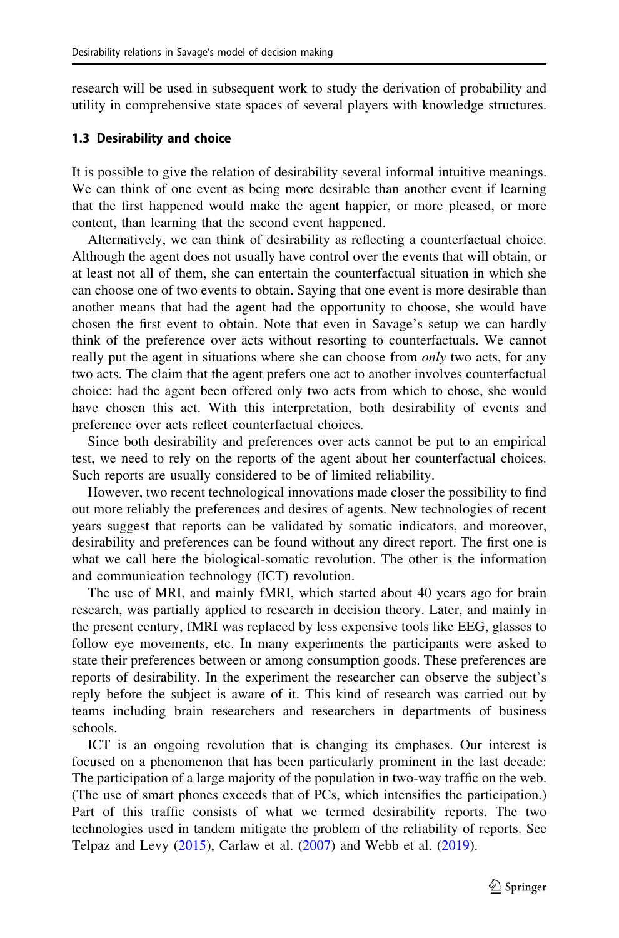research will be used in subsequent work to study the derivation of probability and utility in comprehensive state spaces of several players with knowledge structures.

### 1.3 Desirability and choice

It is possible to give the relation of desirability several informal intuitive meanings. We can think of one event as being more desirable than another event if learning that the first happened would make the agent happier, or more pleased, or more content, than learning that the second event happened.

Alternatively, we can think of desirability as reflecting a counterfactual choice. Although the agent does not usually have control over the events that will obtain, or at least not all of them, she can entertain the counterfactual situation in which she can choose one of two events to obtain. Saying that one event is more desirable than another means that had the agent had the opportunity to choose, she would have chosen the first event to obtain. Note that even in Savage's setup we can hardly think of the preference over acts without resorting to counterfactuals. We cannot really put the agent in situations where she can choose from *only* two acts, for any two acts. The claim that the agent prefers one act to another involves counterfactual choice: had the agent been offered only two acts from which to chose, she would have chosen this act. With this interpretation, both desirability of events and preference over acts reflect counterfactual choices.

Since both desirability and preferences over acts cannot be put to an empirical test, we need to rely on the reports of the agent about her counterfactual choices. Such reports are usually considered to be of limited reliability.

However, two recent technological innovations made closer the possibility to find out more reliably the preferences and desires of agents. New technologies of recent years suggest that reports can be validated by somatic indicators, and moreover, desirability and preferences can be found without any direct report. The first one is what we call here the biological-somatic revolution. The other is the information and communication technology (ICT) revolution.

The use of MRI, and mainly fMRI, which started about 40 years ago for brain research, was partially applied to research in decision theory. Later, and mainly in the present century, fMRI was replaced by less expensive tools like EEG, glasses to follow eye movements, etc. In many experiments the participants were asked to state their preferences between or among consumption goods. These preferences are reports of desirability. In the experiment the researcher can observe the subject's reply before the subject is aware of it. This kind of research was carried out by teams including brain researchers and researchers in departments of business schools.

ICT is an ongoing revolution that is changing its emphases. Our interest is focused on a phenomenon that has been particularly prominent in the last decade: The participation of a large majority of the population in two-way traffic on the web. (The use of smart phones exceeds that of PCs, which intensifies the participation.) Part of this traffic consists of what we termed desirability reports. The two technologies used in tandem mitigate the problem of the reliability of reports. See Telpaz and Levy  $(2015)$  $(2015)$ , Carlaw et al.  $(2007)$  and Webb et al.  $(2019)$  $(2019)$ .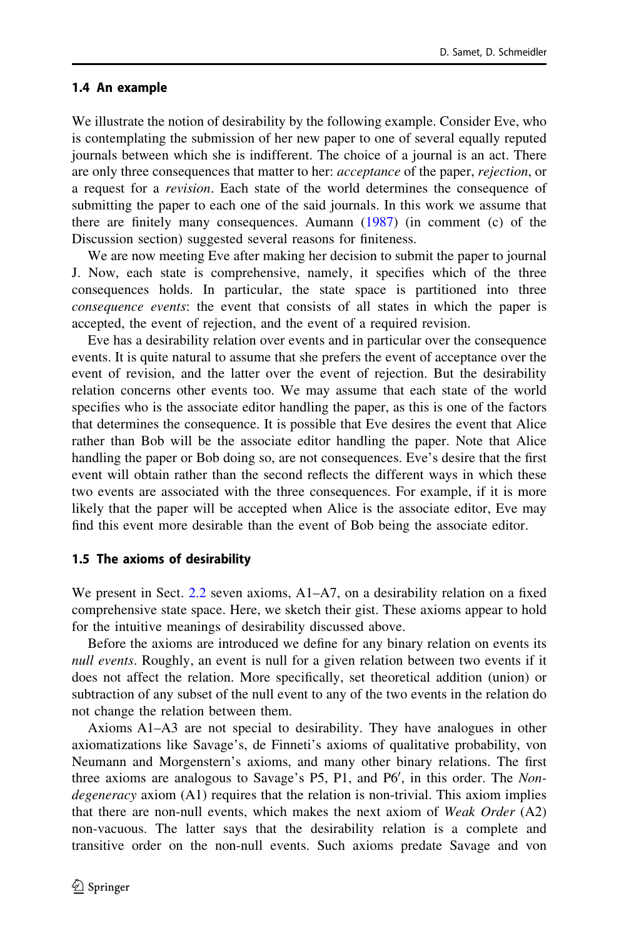#### 1.4 An example

We illustrate the notion of desirability by the following example. Consider Eve, who is contemplating the submission of her new paper to one of several equally reputed journals between which she is indifferent. The choice of a journal is an act. There are only three consequences that matter to her: *acceptance* of the paper, *rejection*, or a request for a revision. Each state of the world determines the consequence of submitting the paper to each one of the said journals. In this work we assume that there are finitely many consequences. Aumann ([1987\)](#page-32-0) (in comment (c) of the Discussion section) suggested several reasons for finiteness.

We are now meeting Eve after making her decision to submit the paper to journal J. Now, each state is comprehensive, namely, it specifies which of the three consequences holds. In particular, the state space is partitioned into three consequence events: the event that consists of all states in which the paper is accepted, the event of rejection, and the event of a required revision.

Eve has a desirability relation over events and in particular over the consequence events. It is quite natural to assume that she prefers the event of acceptance over the event of revision, and the latter over the event of rejection. But the desirability relation concerns other events too. We may assume that each state of the world specifies who is the associate editor handling the paper, as this is one of the factors that determines the consequence. It is possible that Eve desires the event that Alice rather than Bob will be the associate editor handling the paper. Note that Alice handling the paper or Bob doing so, are not consequences. Eve's desire that the first event will obtain rather than the second reflects the different ways in which these two events are associated with the three consequences. For example, if it is more likely that the paper will be accepted when Alice is the associate editor, Eve may find this event more desirable than the event of Bob being the associate editor.

### 1.5 The axioms of desirability

We present in Sect. [2.2](#page-9-0) seven axioms, A1–A7, on a desirability relation on a fixed comprehensive state space. Here, we sketch their gist. These axioms appear to hold for the intuitive meanings of desirability discussed above.

Before the axioms are introduced we define for any binary relation on events its null events. Roughly, an event is null for a given relation between two events if it does not affect the relation. More specifically, set theoretical addition (union) or subtraction of any subset of the null event to any of the two events in the relation do not change the relation between them.

Axioms A1–A3 are not special to desirability. They have analogues in other axiomatizations like Savage's, de Finneti's axioms of qualitative probability, von Neumann and Morgenstern's axioms, and many other binary relations. The first three axioms are analogous to Savage's P5, P1, and P6', in this order. The Nondegeneracy axiom (A1) requires that the relation is non-trivial. This axiom implies that there are non-null events, which makes the next axiom of Weak Order (A2) non-vacuous. The latter says that the desirability relation is a complete and transitive order on the non-null events. Such axioms predate Savage and von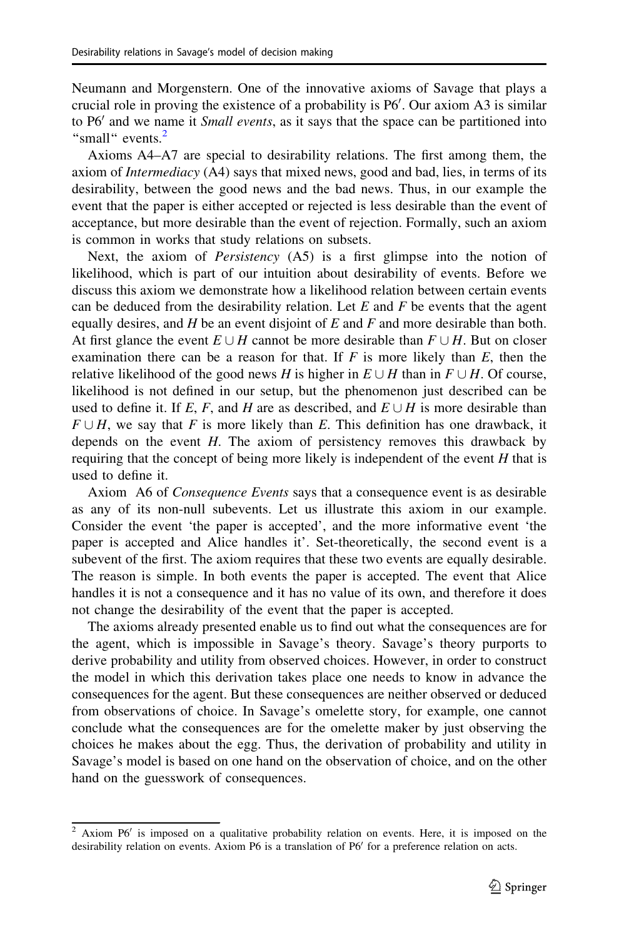Neumann and Morgenstern. One of the innovative axioms of Savage that plays a crucial role in proving the existence of a probability is P6'. Our axiom A3 is similar to P6' and we name it Small events, as it says that the space can be partitioned into "small" events.<sup>2</sup>

Axioms A4–A7 are special to desirability relations. The first among them, the axiom of Intermediacy (A4) says that mixed news, good and bad, lies, in terms of its desirability, between the good news and the bad news. Thus, in our example the event that the paper is either accepted or rejected is less desirable than the event of acceptance, but more desirable than the event of rejection. Formally, such an axiom is common in works that study relations on subsets.

Next, the axiom of *Persistency* (A5) is a first glimpse into the notion of likelihood, which is part of our intuition about desirability of events. Before we discuss this axiom we demonstrate how a likelihood relation between certain events can be deduced from the desirability relation. Let  $E$  and  $F$  be events that the agent equally desires, and  $H$  be an event disjoint of  $E$  and  $F$  and more desirable than both. At first glance the event  $E \cup H$  cannot be more desirable than  $F \cup H$ . But on closer examination there can be a reason for that. If  $F$  is more likely than  $E$ , then the relative likelihood of the good news H is higher in  $E \cup H$  than in  $F \cup H$ . Of course, likelihood is not defined in our setup, but the phenomenon just described can be used to define it. If E, F, and H are as described, and  $E \cup H$  is more desirable than  $F \cup H$ , we say that F is more likely than E. This definition has one drawback, it depends on the event  $H$ . The axiom of persistency removes this drawback by requiring that the concept of being more likely is independent of the event  $H$  that is used to define it.

Axiom A6 of Consequence Events says that a consequence event is as desirable as any of its non-null subevents. Let us illustrate this axiom in our example. Consider the event 'the paper is accepted', and the more informative event 'the paper is accepted and Alice handles it'. Set-theoretically, the second event is a subevent of the first. The axiom requires that these two events are equally desirable. The reason is simple. In both events the paper is accepted. The event that Alice handles it is not a consequence and it has no value of its own, and therefore it does not change the desirability of the event that the paper is accepted.

The axioms already presented enable us to find out what the consequences are for the agent, which is impossible in Savage's theory. Savage's theory purports to derive probability and utility from observed choices. However, in order to construct the model in which this derivation takes place one needs to know in advance the consequences for the agent. But these consequences are neither observed or deduced from observations of choice. In Savage's omelette story, for example, one cannot conclude what the consequences are for the omelette maker by just observing the choices he makes about the egg. Thus, the derivation of probability and utility in Savage's model is based on one hand on the observation of choice, and on the other hand on the guesswork of consequences.

 $\overline{2}$  Axiom P6' is imposed on a qualitative probability relation on events. Here, it is imposed on the desirability relation on events. Axiom P6 is a translation of P6' for a preference relation on acts.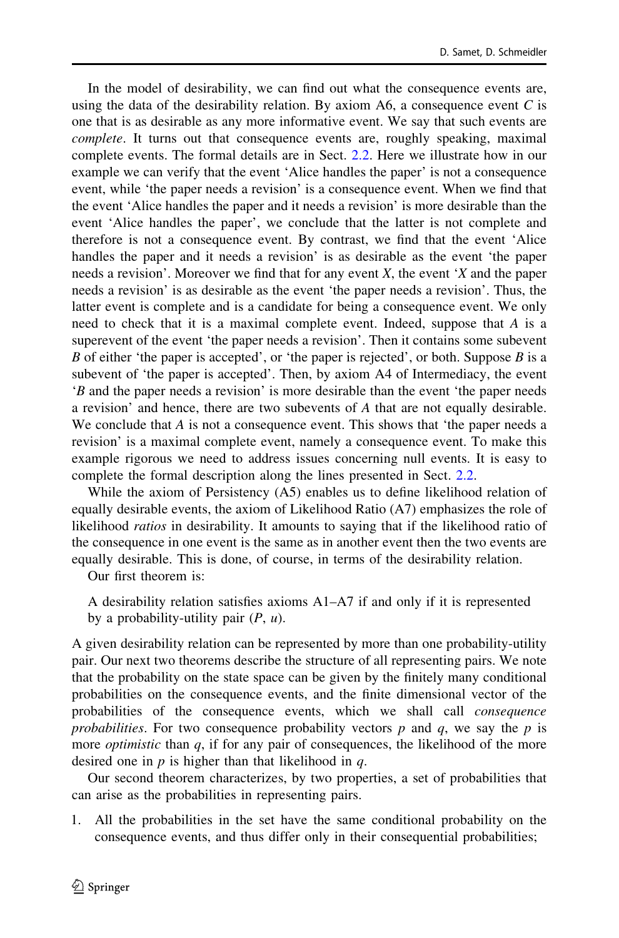In the model of desirability, we can find out what the consequence events are, using the data of the desirability relation. By axiom A6, a consequence event  $C$  is one that is as desirable as any more informative event. We say that such events are complete. It turns out that consequence events are, roughly speaking, maximal complete events. The formal details are in Sect. [2.2](#page-9-0). Here we illustrate how in our example we can verify that the event 'Alice handles the paper' is not a consequence event, while 'the paper needs a revision' is a consequence event. When we find that the event 'Alice handles the paper and it needs a revision' is more desirable than the event 'Alice handles the paper', we conclude that the latter is not complete and therefore is not a consequence event. By contrast, we find that the event 'Alice handles the paper and it needs a revision' is as desirable as the event 'the paper needs a revision'. Moreover we find that for any event  $X$ , the event  $X$  and the paper needs a revision' is as desirable as the event 'the paper needs a revision'. Thus, the latter event is complete and is a candidate for being a consequence event. We only need to check that it is a maximal complete event. Indeed, suppose that A is a superevent of the event 'the paper needs a revision'. Then it contains some subevent B of either 'the paper is accepted', or 'the paper is rejected', or both. Suppose  $B$  is a subevent of 'the paper is accepted'. Then, by axiom A4 of Intermediacy, the event 'B and the paper needs a revision' is more desirable than the event 'the paper needs a revision' and hence, there are two subevents of A that are not equally desirable. We conclude that A is not a consequence event. This shows that 'the paper needs a revision' is a maximal complete event, namely a consequence event. To make this example rigorous we need to address issues concerning null events. It is easy to complete the formal description along the lines presented in Sect. [2.2](#page-9-0).

While the axiom of Persistency (A5) enables us to define likelihood relation of equally desirable events, the axiom of Likelihood Ratio (A7) emphasizes the role of likelihood ratios in desirability. It amounts to saying that if the likelihood ratio of the consequence in one event is the same as in another event then the two events are equally desirable. This is done, of course, in terms of the desirability relation.

Our first theorem is:

A desirability relation satisfies axioms A1–A7 if and only if it is represented by a probability-utility pair  $(P, u)$ .

A given desirability relation can be represented by more than one probability-utility pair. Our next two theorems describe the structure of all representing pairs. We note that the probability on the state space can be given by the finitely many conditional probabilities on the consequence events, and the finite dimensional vector of the probabilities of the consequence events, which we shall call consequence probabilities. For two consequence probability vectors  $p$  and  $q$ , we say the  $p$  is more *optimistic* than  $q$ , if for any pair of consequences, the likelihood of the more desired one in  $p$  is higher than that likelihood in  $q$ .

Our second theorem characterizes, by two properties, a set of probabilities that can arise as the probabilities in representing pairs.

1. All the probabilities in the set have the same conditional probability on the consequence events, and thus differ only in their consequential probabilities;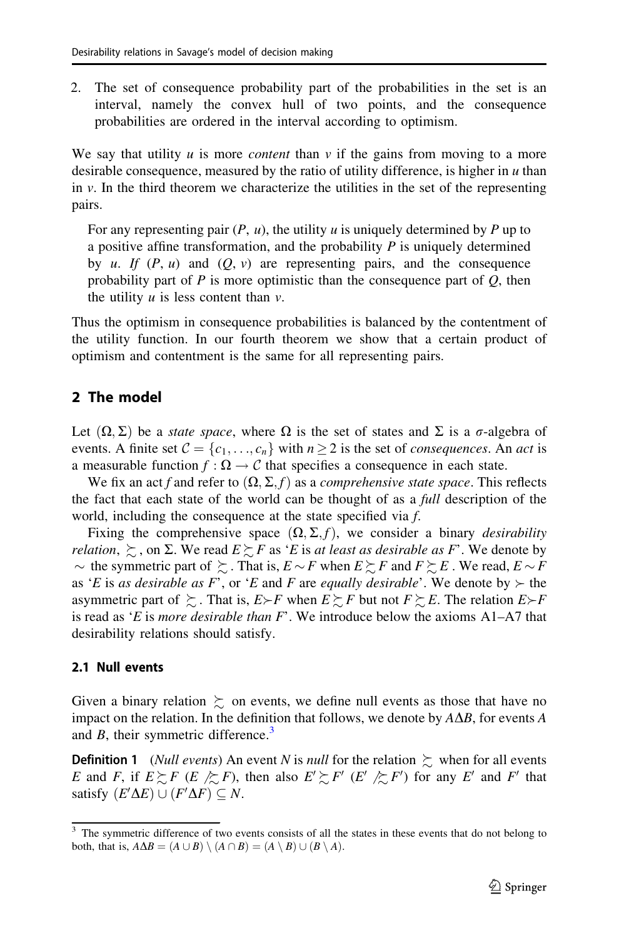2. The set of consequence probability part of the probabilities in the set is an interval, namely the convex hull of two points, and the consequence probabilities are ordered in the interval according to optimism.

We say that utility u is more *content* than  $\nu$  if the gains from moving to a more desirable consequence, measured by the ratio of utility difference, is higher in  $u$  than in  $\nu$ . In the third theorem we characterize the utilities in the set of the representing pairs.

For any representing pair  $(P, u)$ , the utility u is uniquely determined by P up to a positive affine transformation, and the probability  $P$  is uniquely determined by u. If  $(P, u)$  and  $(Q, v)$  are representing pairs, and the consequence probability part of  $P$  is more optimistic than the consequence part of  $Q$ , then the utility  $u$  is less content than  $v$ .

Thus the optimism in consequence probabilities is balanced by the contentment of the utility function. In our fourth theorem we show that a certain product of optimism and contentment is the same for all representing pairs.

## 2 The model

Let  $(\Omega, \Sigma)$  be a *state space*, where  $\Omega$  is the set of states and  $\Sigma$  is a  $\sigma$ -algebra of events. A finite set  $\mathcal{C} = \{c_1, \ldots, c_n\}$  with  $n \geq 2$  is the set of *consequences*. An *act* is a measurable function  $f : \Omega \to \mathcal{C}$  that specifies a consequence in each state.

We fix an act f and refer to  $(\Omega, \Sigma, f)$  as a *comprehensive state space*. This reflects the fact that each state of the world can be thought of as a full description of the world, including the consequence at the state specified via f.

Fixing the comprehensive space  $(\Omega, \Sigma, f)$ , we consider a binary *desirability relation,*  $\geq$ , on  $\Sigma$ . We read  $E \geq F$  as 'E is at least as desirable as F'. We denote by  $\sim$  the symmetric part of  $\succsim$ . That is,  $E \sim F$  when  $E \succsim F$  and  $F \succsim E$ . We read,  $E \sim F$ as 'E is as desirable as F', or 'E and F are equally desirable'. We denote by  $\succ$  the asymmetric part of  $\succsim$ . That is,  $E \succ F$  when  $E \succsim F$  but not  $F \succsim E$ . The relation  $E \succ F$ is read as 'E is *more desirable than* F'. We introduce below the axioms  $A1-A7$  that desirability relations should satisfy.

### 2.1 Null events

Given a binary relation  $\succeq$  on events, we define null events as those that have no impact on the relation. In the definition that follows, we denote by  $A\Delta B$ , for events A and  $B$ , their symmetric difference.<sup>3</sup>

**Definition 1** (*Null events*) An event *N* is *null* for the relation  $\gtrsim$  when for all events E and F, if  $E \succsim F$  (E  $\swarrowsim F$ ), then also  $E' \succsim F'$  (E'  $\swarrowsim F'$ ) for any E' and F' that satisfy  $(E'\Delta E) \cup (F'\Delta F) \subseteq N$ .

<sup>&</sup>lt;sup>3</sup> The symmetric difference of two events consists of all the states in these events that do not belong to both, that is,  $A \Delta B = (A \cup B) \setminus (A \cap B) = (A \setminus B) \cup (B \setminus A)$ .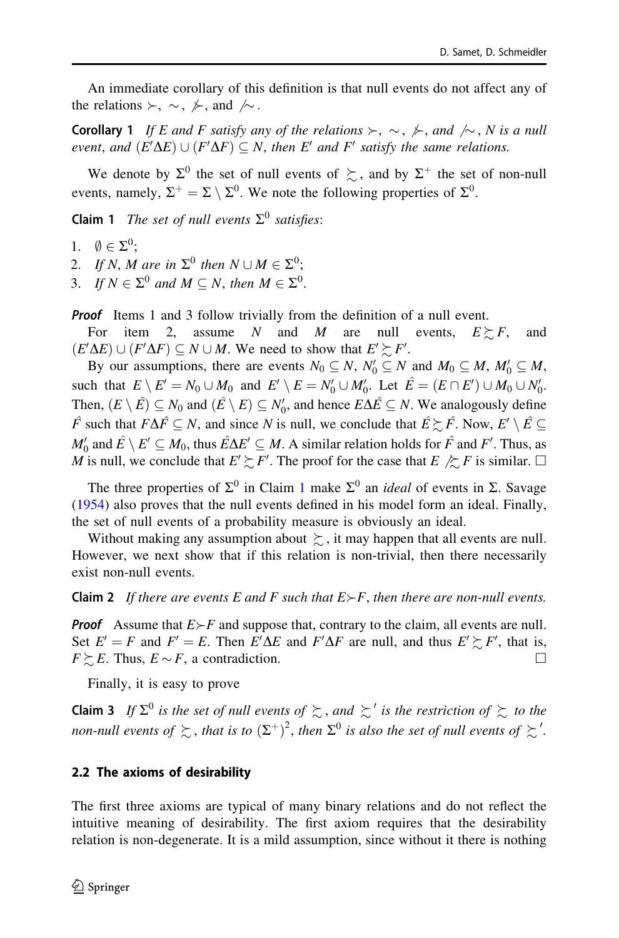<span id="page-9-0"></span>An immediate corollary of this definition is that null events do not affect any of the relations  $\succ, \sim, \not\succ$ , and  $\curvearrowright$ .

**Corollary 1** If E and F satisfy any of the relations  $\succ$ ,  $\sim$ ,  $\succ$ , and  $\succ$ , N is a null event, and  $(E'\Delta E) \cup (F'\Delta F) \subseteq N$ , then E' and F' satisfy the same relations.

We denote by  $\Sigma^0$  the set of null events of  $\succsim$ , and by  $\Sigma^+$  the set of non-null events, namely,  $\Sigma^+ = \Sigma \setminus \Sigma^0$ . We note the following properties of  $\Sigma^0$ .

**Claim 1** The set of null events  $\Sigma^0$  satisfies:

1.  $\emptyset \in \Sigma^0$ ;

2. If N, M are in  $\Sigma^0$  then  $N \cup M \in \Sigma^0$ ;

3. If  $N \in \Sigma^0$  and  $M \subseteq N$ , then  $M \in \Sigma^0$ .

**Proof** Items 1 and 3 follow trivially from the definition of a null event.

For item 2, assume N and M are null events,  $E \succeq F$ , and  $(E'\Delta E) \cup (F'\Delta F) \subseteq N \cup M$ . We need to show that  $E' \gtrsim F'$ .

By our assumptions, there are events  $N_0 \subseteq N$ ,  $N'_0 \subseteq N$  and  $M_0 \subseteq M$ ,  $M'_0 \subseteq M$ , such that  $E \setminus E' = N_0 \cup M_0$  and  $E' \setminus E = N'_0 \cup M'_0$ . Let  $\hat{E} = (E \cap E') \cup M_0 \cup N'_0$ . Then,  $(E \setminus \hat{E}) \subseteq N_0$  and  $(\hat{E} \setminus E) \subseteq N'_0$ , and hence  $E\Delta \hat{E} \subseteq N$ . We analogously define  $\hat{F}$  such that  $F\Delta\hat{F} \subseteq N$ , and since N is null, we conclude that  $\hat{E} \succsim \hat{F}$ . Now,  $E' \setminus \hat{E} \subseteq$  $M_0'$  and  $\hat{E} \setminus E' \subseteq M_0$ , thus  $\hat{E} \Delta E' \subseteq M$ . A similar relation holds for  $\hat{F}$  and  $F'$ . Thus, as M is null, we conclude that  $E' \gtrsim F'$ . The proof for the case that  $E \gtrsim F$  is similar.  $\Box$ 

The three properties of  $\Sigma^0$  in Claim 1 make  $\Sigma^0$  an *ideal* of events in  $\Sigma$ . Savage [\(1954](#page-32-0)) also proves that the null events defined in his model form an ideal. Finally, the set of null events of a probability measure is obviously an ideal.

Without making any assumption about  $\succsim$ , it may happen that all events are null. However, we next show that if this relation is non-trivial, then there necessarily exist non-null events.

**Claim 2** If there are events E and F such that  $E \rightarrow F$ , then there are non-null events.

**Proof** Assume that  $E \succ F$  and suppose that, contrary to the claim, all events are null. Set  $E' = F$  and  $F' = E$ . Then  $E' \Delta E$  and  $F' \Delta F$  are null, and thus  $E' \gtrsim F'$ , that is,  $F \succeq E$ . Thus,  $E \sim F$ , a contradiction.

Finally, it is easy to prove

**Claim 3** If  $\Sigma^0$  is the set of null events of  $\succsim$ , and  $\succsim'$  is the restriction of  $\succsim$  to the non-null events of  $\succsim$  , that is to  $(\Sigma^{+})^2$ , then  $\Sigma^{0}$  is also the set of null events of  $\succsim'$ .

### 2.2 The axioms of desirability

The first three axioms are typical of many binary relations and do not reflect the intuitive meaning of desirability. The first axiom requires that the desirability relation is non-degenerate. It is a mild assumption, since without it there is nothing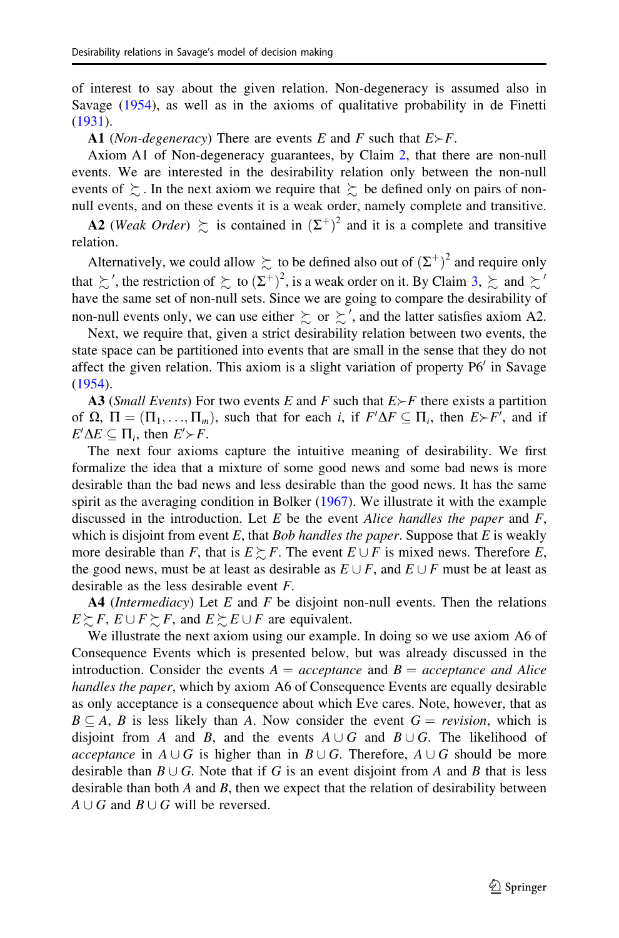of interest to say about the given relation. Non-degeneracy is assumed also in Savage ([1954\)](#page-32-0), as well as in the axioms of qualitative probability in de Finetti [\(1931](#page-32-0)).

A1 (*Non-degeneracy*) There are events E and F such that  $E \rightarrow F$ .

Axiom A1 of Non-degeneracy guarantees, by Claim [2](#page-9-0), that there are non-null events. We are interested in the desirability relation only between the non-null events of  $\succsim$ . In the next axiom we require that  $\succsim$  be defined only on pairs of nonnull events, and on these events it is a weak order, namely complete and transitive.

**A2** (Weak Order)  $\geq$  is contained in  $(\Sigma^+)^2$  and it is a complete and transitive relation.

Alternatively, we could allow  $\sum$  to be defined also out of  $(\Sigma^+)^2$  and require only that  $\succsim'$ , the restriction of  $\succsim$  to  $(\Sigma^+)^2$ , is a weak order on it. By Claim [3,](#page-9-0)  $\succsim$  and  $\succsim'$ have the same set of non-null sets. Since we are going to compare the desirability of non-null events only, we can use either  $\succsim$  or  $\succsim'$ , and the latter satisfies axiom A2.

Next, we require that, given a strict desirability relation between two events, the state space can be partitioned into events that are small in the sense that they do not affect the given relation. This axiom is a slight variation of property  $P6'$  in Savage [\(1954](#page-32-0)).

A3 (Small Events) For two events E and F such that  $E \rightarrow F$  there exists a partition of  $\Omega$ ,  $\Pi = (\Pi_1, \dots, \Pi_m)$ , such that for each i, if  $F' \Delta F \subseteq \Pi_i$ , then  $E \succ F'$ , and if  $E'\Delta E \subseteq \Pi_i$ , then  $E' \rightarrow F$ .

The next four axioms capture the intuitive meaning of desirability. We first formalize the idea that a mixture of some good news and some bad news is more desirable than the bad news and less desirable than the good news. It has the same spirit as the averaging condition in Bolker [\(1967](#page-32-0)). We illustrate it with the example discussed in the introduction. Let E be the event Alice handles the paper and  $F$ , which is disjoint from event  $E$ , that *Bob handles the paper*. Suppose that  $E$  is weakly more desirable than F, that is  $E \succeq F$ . The event  $E \cup F$  is mixed news. Therefore E, the good news, must be at least as desirable as  $E \cup F$ , and  $E \cup F$  must be at least as desirable as the less desirable event F.

A4 (Intermediacy) Let  $E$  and  $F$  be disjoint non-null events. Then the relations  $E \gtrsim F$ ,  $E \cup F \gtrsim F$ , and  $E \gtrsim E \cup F$  are equivalent.

We illustrate the next axiom using our example. In doing so we use axiom A6 of Consequence Events which is presented below, but was already discussed in the introduction. Consider the events  $A = acceptance$  and  $B = acceptance$  and Alice handles the paper, which by axiom A6 of Consequence Events are equally desirable as only acceptance is a consequence about which Eve cares. Note, however, that as  $B \subseteq A$ , B is less likely than A. Now consider the event  $G = revision$ , which is disjoint from A and B, and the events  $A \cup G$  and  $B \cup G$ . The likelihood of *acceptance* in  $A \cup G$  is higher than in  $B \cup G$ . Therefore,  $A \cup G$  should be more desirable than  $B \cup G$ . Note that if G is an event disjoint from A and B that is less desirable than both  $A$  and  $B$ , then we expect that the relation of desirability between  $A \cup G$  and  $B \cup G$  will be reversed.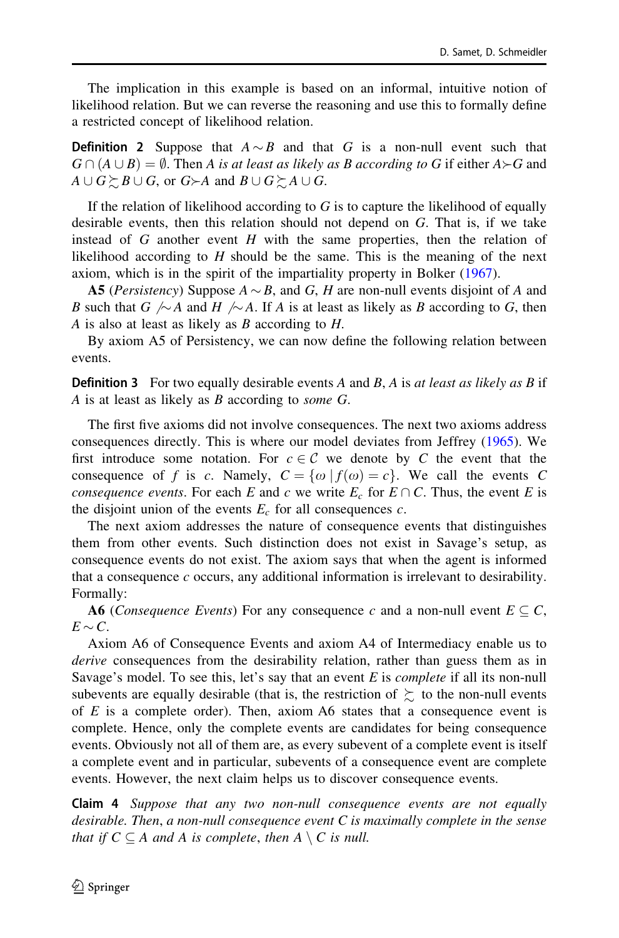<span id="page-11-0"></span>The implication in this example is based on an informal, intuitive notion of likelihood relation. But we can reverse the reasoning and use this to formally define a restricted concept of likelihood relation.

**Definition 2** Suppose that  $A \sim B$  and that G is a non-null event such that  $G \cap (A \cup B) = \emptyset$ . Then A is at least as likely as B according to G if either  $A \rightarrow G$  and  $A \cup G \succeq B \cup G$ , or  $G \succ A$  and  $B \cup G \succeq A \cup G$ .

If the relation of likelihood according to  $G$  is to capture the likelihood of equally desirable events, then this relation should not depend on G. That is, if we take instead of  $G$  another event  $H$  with the same properties, then the relation of likelihood according to  $H$  should be the same. This is the meaning of the next axiom, which is in the spirit of the impartiality property in Bolker ([1967\)](#page-32-0).

A5 (Persistency) Suppose  $A \sim B$ , and G, H are non-null events disjoint of A and B such that  $G \sim A$  and  $H \sim A$ . If A is at least as likely as B according to G, then A is also at least as likely as  $B$  according to  $H$ .

By axiom A5 of Persistency, we can now define the following relation between events.

**Definition 3** For two equally desirable events A and B, A is at least as likely as B if A is at least as likely as  $B$  according to *some G*.

The first five axioms did not involve consequences. The next two axioms address consequences directly. This is where our model deviates from Jeffrey [\(1965](#page-32-0)). We first introduce some notation. For  $c \in \mathcal{C}$  we denote by C the event that the consequence of f is c. Namely,  $C = \{\omega | f(\omega) = c\}$ . We call the events C consequence events. For each E and c we write  $E_c$  for  $E \cap C$ . Thus, the event E is the disjoint union of the events  $E_c$  for all consequences c.

The next axiom addresses the nature of consequence events that distinguishes them from other events. Such distinction does not exist in Savage's setup, as consequence events do not exist. The axiom says that when the agent is informed that a consequence  $c$  occurs, any additional information is irrelevant to desirability. Formally:

**A6** (*Consequence Events*) For any consequence c and a non-null event  $E \subseteq C$ ,  $E \sim C$ .

Axiom A6 of Consequence Events and axiom A4 of Intermediacy enable us to derive consequences from the desirability relation, rather than guess them as in Savage's model. To see this, let's say that an event  $E$  is *complete* if all its non-null subevents are equally desirable (that is, the restriction of  $\succeq$  to the non-null events of  $E$  is a complete order). Then, axiom A6 states that a consequence event is complete. Hence, only the complete events are candidates for being consequence events. Obviously not all of them are, as every subevent of a complete event is itself a complete event and in particular, subevents of a consequence event are complete events. However, the next claim helps us to discover consequence events.

Claim 4 Suppose that any two non-null consequence events are not equally desirable. Then, a non-null consequence event C is maximally complete in the sense that if  $C \subseteq A$  and A is complete, then  $A \setminus C$  is null.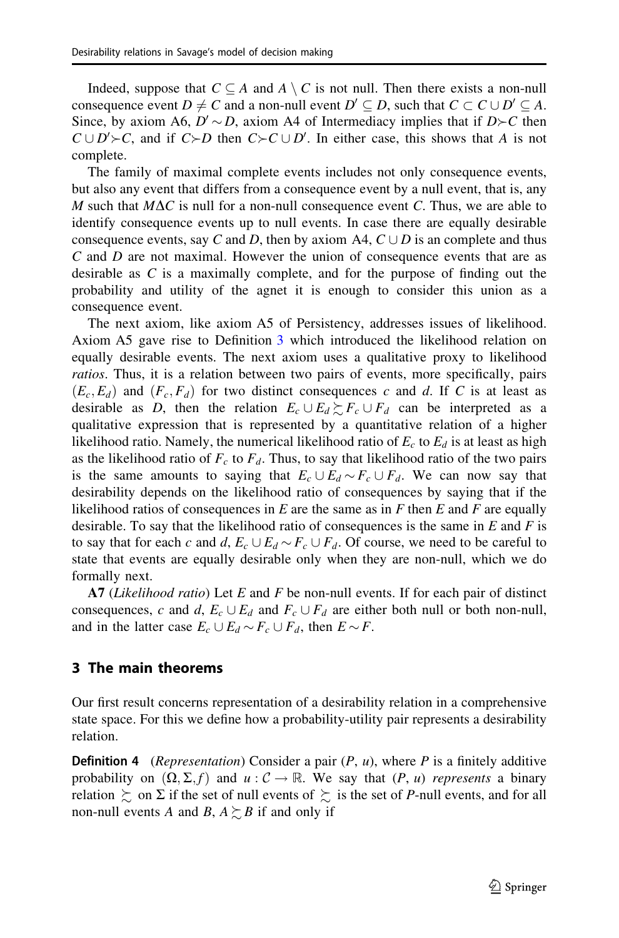<span id="page-12-0"></span>Indeed, suppose that  $C \subseteq A$  and  $A \setminus C$  is not null. Then there exists a non-null consequence event  $D \neq C$  and a non-null event  $D' \subseteq D$ , such that  $C \subset C \cup D' \subseteq A$ . Since, by axiom A6,  $D' \sim D$ , axiom A4 of Intermediacy implies that if  $D \succ C$  then  $C \cup D' \rightarrow C$ , and if  $C \rightarrow D$  then  $C \rightarrow C \cup D'$ . In either case, this shows that A is not complete.

The family of maximal complete events includes not only consequence events, but also any event that differs from a consequence event by a null event, that is, any M such that  $M\Delta C$  is null for a non-null consequence event C. Thus, we are able to identify consequence events up to null events. In case there are equally desirable consequence events, say C and D, then by axiom A4,  $C \cup D$  is an complete and thus C and D are not maximal. However the union of consequence events that are as desirable as C is a maximally complete, and for the purpose of finding out the probability and utility of the agnet it is enough to consider this union as a consequence event.

The next axiom, like axiom A5 of Persistency, addresses issues of likelihood. Axiom A5 gave rise to Definition [3](#page-11-0) which introduced the likelihood relation on equally desirable events. The next axiom uses a qualitative proxy to likelihood ratios. Thus, it is a relation between two pairs of events, more specifically, pairs  $(E_c, E_d)$  and  $(F_c, F_d)$  for two distinct consequences c and d. If C is at least as desirable as D, then the relation  $E_c \cup E_d \succsim F_c \cup F_d$  can be interpreted as a qualitative expression that is represented by a quantitative relation of a higher likelihood ratio. Namely, the numerical likelihood ratio of  $E_c$  to  $E_d$  is at least as high as the likelihood ratio of  $F_c$  to  $F_d$ . Thus, to say that likelihood ratio of the two pairs is the same amounts to saying that  $E_c \cup E_d \sim F_c \cup F_d$ . We can now say that desirability depends on the likelihood ratio of consequences by saying that if the likelihood ratios of consequences in  $E$  are the same as in  $F$  then  $E$  and  $F$  are equally desirable. To say that the likelihood ratio of consequences is the same in  $E$  and  $F$  is to say that for each c and d,  $E_c \cup E_d \sim F_c \cup F_d$ . Of course, we need to be careful to state that events are equally desirable only when they are non-null, which we do formally next.

 $\Delta$ 7 (*Likelihood ratio*) Let E and F be non-null events. If for each pair of distinct consequences, c and d,  $E_c \cup E_d$  and  $F_c \cup F_d$  are either both null or both non-null, and in the latter case  $E_c \cup E_d \sim F_c \cup F_d$ , then  $E \sim F$ .

### 3 The main theorems

Our first result concerns representation of a desirability relation in a comprehensive state space. For this we define how a probability-utility pair represents a desirability relation.

**Definition 4** (*Representation*) Consider a pair  $(P, u)$ , where P is a finitely additive probability on  $(\Omega, \Sigma, f)$  and  $u : \mathcal{C} \to \mathbb{R}$ . We say that  $(P, u)$  represents a binary relation  $\gtrsim$  on  $\Sigma$  if the set of null events of  $\gtrsim$  is the set of P-null events, and for all non-null events A and B,  $A \gtrsim B$  if and only if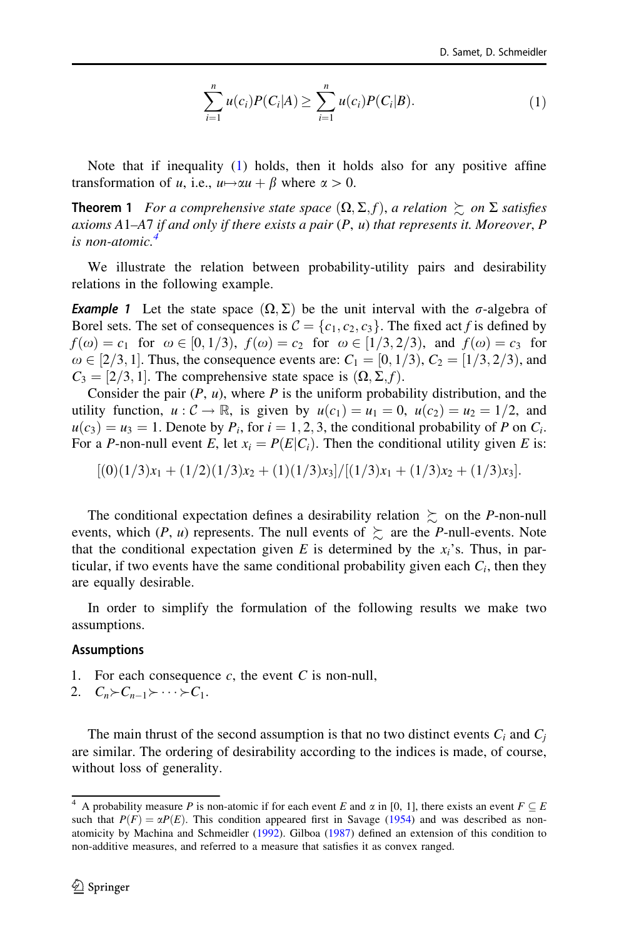$$
\sum_{i=1}^{n} u(c_i)P(C_i|A) \ge \sum_{i=1}^{n} u(c_i)P(C_i|B). \tag{1}
$$

<span id="page-13-0"></span>Note that if inequality [\(1](#page-12-0)) holds, then it holds also for any positive affine transformation of u, i.e.,  $u \mapsto \alpha u + \beta$  where  $\alpha > 0$ .

**Theorem 1** For a comprehensive state space  $(\Omega, \Sigma, f)$ , a relation  $\succsim$  on  $\Sigma$  satisfies axioms A1–A7 if and only if there exists a pair  $(P, u)$  that represents it. Moreover, P is non-atomic.<sup>4</sup>

We illustrate the relation between probability-utility pairs and desirability relations in the following example.

**Example 1** Let the state space  $(\Omega, \Sigma)$  be the unit interval with the  $\sigma$ -algebra of Borel sets. The set of consequences is  $C = \{c_1, c_2, c_3\}$ . The fixed act f is defined by  $f(\omega) = c_1$  for  $\omega \in [0, 1/3), f(\omega) = c_2$  for  $\omega \in [1/3, 2/3),$  and  $f(\omega) = c_3$  for  $\omega \in [2/3, 1]$ . Thus, the consequence events are:  $C_1 = [0, 1/3), C_2 = [1/3, 2/3)$ , and  $C_3 = [2/3, 1]$ . The comprehensive state space is  $(\Omega, \Sigma, f)$ .

Consider the pair  $(P, u)$ , where P is the uniform probability distribution, and the utility function,  $u: \mathcal{C} \to \mathbb{R}$ , is given by  $u(c_1) = u_1 = 0$ ,  $u(c_2) = u_2 = 1/2$ , and  $u(c_3) = u_3 = 1$ . Denote by  $P_i$ , for  $i = 1, 2, 3$ , the conditional probability of P on  $C_i$ . For a P-non-null event E, let  $x_i = P(E|C_i)$ . Then the conditional utility given E is:

$$
[(0)(1/3)x1 + (1/2)(1/3)x2 + (1)(1/3)x3]/[(1/3)x1 + (1/3)x2 + (1/3)x3].
$$

The conditional expectation defines a desirability relation  $\gtrsim$  on the P-non-null events, which (P, u) represents. The null events of  $\succeq$  are the P-null-events. Note that the conditional expectation given E is determined by the  $x_i$ 's. Thus, in particular, if two events have the same conditional probability given each  $C_i$ , then they are equally desirable.

In order to simplify the formulation of the following results we make two assumptions.

#### Assumptions

- 1. For each consequence  $c$ , the event  $C$  is non-null,
- 2.  $C_n \succ C_{n-1} \succ \cdots \succ C_1$ .

The main thrust of the second assumption is that no two distinct events  $C_i$  and  $C_j$ are similar. The ordering of desirability according to the indices is made, of course, without loss of generality.

<sup>&</sup>lt;sup>4</sup> A probability measure P is non-atomic if for each event E and  $\alpha$  in [0, 1], there exists an event  $F \subseteq E$ such that  $P(F) = \alpha P(E)$ . This condition appeared first in Savage [\(1954](#page-32-0)) and was described as nonatomicity by Machina and Schmeidler [\(1992](#page-32-0)). Gilboa [\(1987](#page-32-0)) defined an extension of this condition to non-additive measures, and referred to a measure that satisfies it as convex ranged.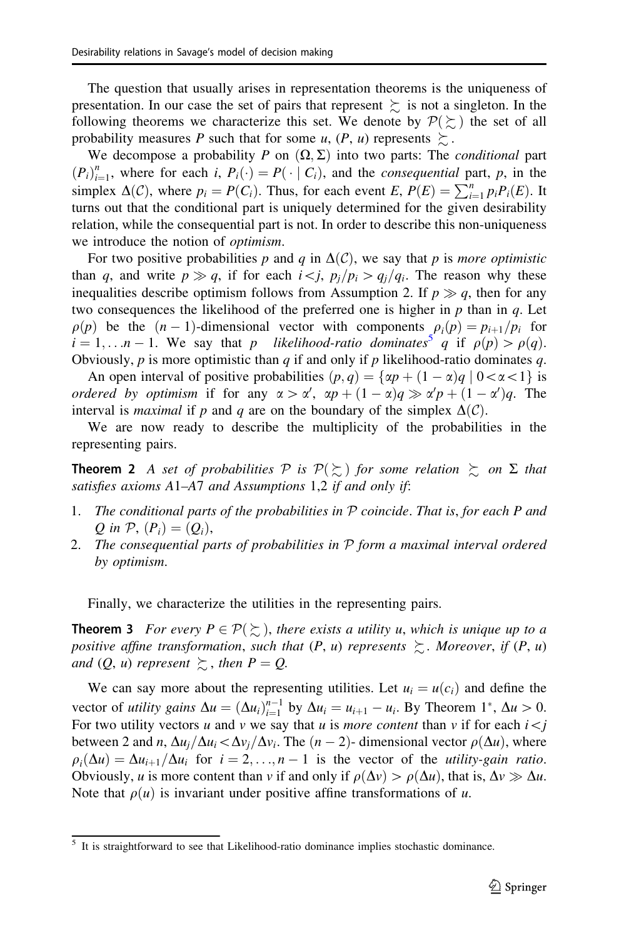<span id="page-14-0"></span>The question that usually arises in representation theorems is the uniqueness of presentation. In our case the set of pairs that represent  $\geq$  is not a singleton. In the following theorems we characterize this set. We denote by  $\mathcal{P}(\succsim)$  the set of all probability measures P such that for some u,  $(P, u)$  represents  $\succeq$ .

We decompose a probability P on  $(\Omega, \Sigma)$  into two parts: The *conditional* part  $(P_i)_{i=1}^n$ , where for each i,  $P_i(\cdot) = P(\cdot | C_i)$ , and the *consequential* part, p, in the simplex  $\Delta(C)$ , where  $p_i = P(C_i)$ . Thus, for each event E,  $P(E) = \sum_{i=1}^{n} p_i P_i(E)$ . It turns out that the conditional part is uniquely determined for the given desirability relation, while the consequential part is not. In order to describe this non-uniqueness we introduce the notion of *optimism*.

For two positive probabilities p and q in  $\Delta(C)$ , we say that p is more optimistic than q, and write  $p \gg q$ , if for each  $i \lt j$ ,  $p_j/p_i > q_j/q_i$ . The reason why these inequalities describe optimism follows from Assumption 2. If  $p \gg q$ , then for any two consequences the likelihood of the preferred one is higher in  $p$  than in  $q$ . Let  $\rho(p)$  be the  $(n-1)$ -dimensional vector with components  $\rho_i(p) = p_{i+1}/p_i$  for  $i = 1, \ldots n - 1$ . We say that p likelihood-ratio dominates<sup>5</sup> q if  $\rho(p) > \rho(q)$ . Obviously,  $p$  is more optimistic than  $q$  if and only if  $p$  likelihood-ratio dominates  $q$ .

An open interval of positive probabilities  $(p,q) = \{\alpha p + (1 - \alpha)q \mid 0 < \alpha < 1\}$  is ordered by optimism if for any  $\alpha > \alpha'$ ,  $\alpha p + (1 - \alpha)q \gg \alpha'p + (1 - \alpha')q$ . The interval is *maximal* if p and q are on the boundary of the simplex  $\Delta(C)$ .

We are now ready to describe the multiplicity of the probabilities in the representing pairs.

**Theorem 2** A set of probabilities P is  $\mathcal{P}(\succsim)$  for some relation  $\succsim$  on  $\Sigma$  that satisfies axioms A1–A7 and Assumptions 1,2 if and only if:

- 1. The conditional parts of the probabilities in P coincide. That is, for each P and Q in P,  $(P_i)=(Q_i)$ ,
- 2. The consequential parts of probabilities in  $P$  form a maximal interval ordered by optimism.

Finally, we characterize the utilities in the representing pairs.

**Theorem 3** For every  $P \in \mathcal{P}(\succsim)$ , there exists a utility u, which is unique up to a positive affine transformation, such that  $(P, u)$  represents  $\sum$ . Moreover, if  $(P, u)$ and  $(Q, u)$  represent  $\succeq$ , then  $P = Q$ .

We can say more about the representing utilities. Let  $u_i = u(c_i)$  and define the vector of *utility gains*  $\Delta u = (\Delta u_i)_{i=1}^{n-1}$  by  $\Delta u_i = u_{i+1} - u_i$ . By Theorem 1<sup>\*</sup>,  $\Delta u > 0$ . For two utility vectors u and v we say that u is *more content* than v if for each  $i\leq j$ between 2 and *n*,  $\Delta u_i/\Delta u_i < \Delta v_i/\Delta v_i$ . The  $(n - 2)$ - dimensional vector  $\rho(\Delta u)$ , where  $\rho_i(\Delta u) = \Delta u_{i+1}/\Delta u_i$  for  $i = 2, \ldots, n-1$  is the vector of the *utility-gain ratio*. Obviously, u is more content than v if and only if  $\rho(\Delta v) > \rho(\Delta u)$ , that is,  $\Delta v \gg \Delta u$ . Note that  $\rho(u)$  is invariant under positive affine transformations of u.

<sup>&</sup>lt;sup>5</sup> It is straightforward to see that Likelihood-ratio dominance implies stochastic dominance.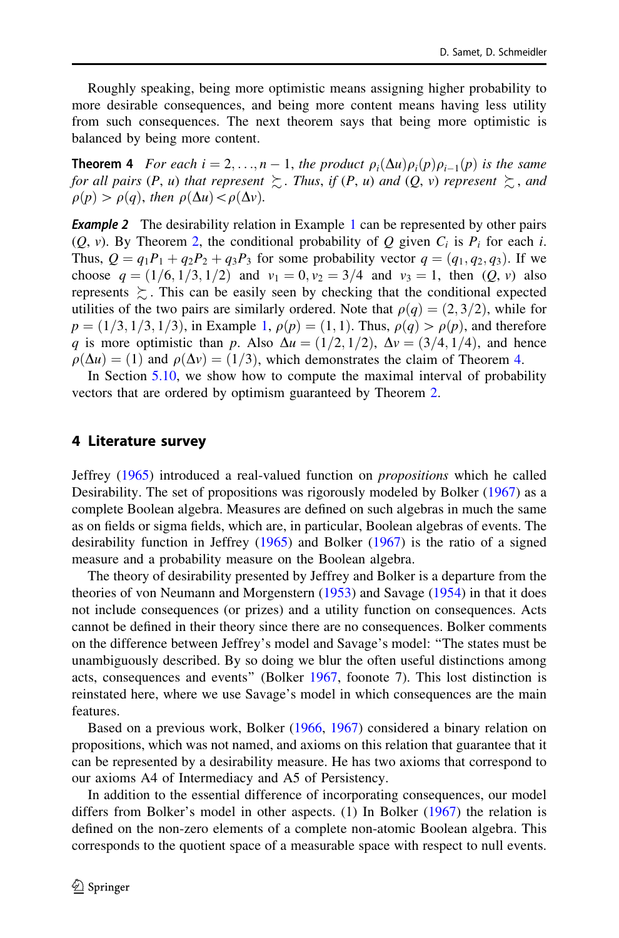<span id="page-15-0"></span>Roughly speaking, being more optimistic means assigning higher probability to more desirable consequences, and being more content means having less utility from such consequences. The next theorem says that being more optimistic is balanced by being more content.

**Theorem 4** For each  $i = 2, ..., n - 1$ , the product  $\rho_i(\Delta u)\rho_i(p)\rho_{i-1}(p)$  is the same for all pairs (P, u) that represent  $\succsim$ . Thus, if (P, u) and (Q, v) represent  $\succsim$ , and  $\rho(p) > \rho(q)$ , then  $\rho(\Delta u) < \rho(\Delta v)$ .

**Example 2** The desirability relation in Example [1](#page-13-0) can be represented by other pairs  $(Q, v)$ . By Theorem [2](#page-14-0), the conditional probability of Q given  $C_i$  is  $P_i$  for each i. Thus,  $Q = q_1P_1 + q_2P_2 + q_3P_3$  for some probability vector  $q = (q_1, q_2, q_3)$ . If we choose  $q = (1/6, 1/3, 1/2)$  and  $v_1 = 0, v_2 = 3/4$  and  $v_3 = 1$ , then  $(Q, v)$  also represents  $\geq$ . This can be easily seen by checking that the conditional expected utilities of the two pairs are similarly ordered. Note that  $\rho(q)=(2,3/2)$ , while for  $p = (1/3, 1/3, 1/3)$  $p = (1/3, 1/3, 1/3)$  $p = (1/3, 1/3, 1/3)$ , in Example 1,  $\rho(p) = (1, 1)$ . Thus,  $\rho(q) > \rho(p)$ , and therefore q is more optimistic than p. Also  $\Delta u = (1/2, 1/2), \Delta v = (3/4, 1/4)$ , and hence  $\rho(\Delta u) = (1)$  and  $\rho(\Delta v) = (1/3)$ , which demonstrates the claim of Theorem 4.

In Section  $5.10$ , we show how to compute the maximal interval of probability vectors that are ordered by optimism guaranteed by Theorem [2.](#page-14-0)

### 4 Literature survey

Jeffrey [\(1965](#page-32-0)) introduced a real-valued function on propositions which he called Desirability. The set of propositions was rigorously modeled by Bolker [\(1967](#page-32-0)) as a complete Boolean algebra. Measures are defined on such algebras in much the same as on fields or sigma fields, which are, in particular, Boolean algebras of events. The desirability function in Jeffrey [\(1965](#page-32-0)) and Bolker ([1967\)](#page-32-0) is the ratio of a signed measure and a probability measure on the Boolean algebra.

The theory of desirability presented by Jeffrey and Bolker is a departure from the theories of von Neumann and Morgenstern ([1953\)](#page-32-0) and Savage ([1954\)](#page-32-0) in that it does not include consequences (or prizes) and a utility function on consequences. Acts cannot be defined in their theory since there are no consequences. Bolker comments on the difference between Jeffrey's model and Savage's model: ''The states must be unambiguously described. By so doing we blur the often useful distinctions among acts, consequences and events'' (Bolker [1967,](#page-32-0) foonote 7). This lost distinction is reinstated here, where we use Savage's model in which consequences are the main features.

Based on a previous work, Bolker ([1966,](#page-32-0) [1967\)](#page-32-0) considered a binary relation on propositions, which was not named, and axioms on this relation that guarantee that it can be represented by a desirability measure. He has two axioms that correspond to our axioms A4 of Intermediacy and A5 of Persistency.

In addition to the essential difference of incorporating consequences, our model differs from Bolker's model in other aspects. (1) In Bolker [\(1967](#page-32-0)) the relation is defined on the non-zero elements of a complete non-atomic Boolean algebra. This corresponds to the quotient space of a measurable space with respect to null events.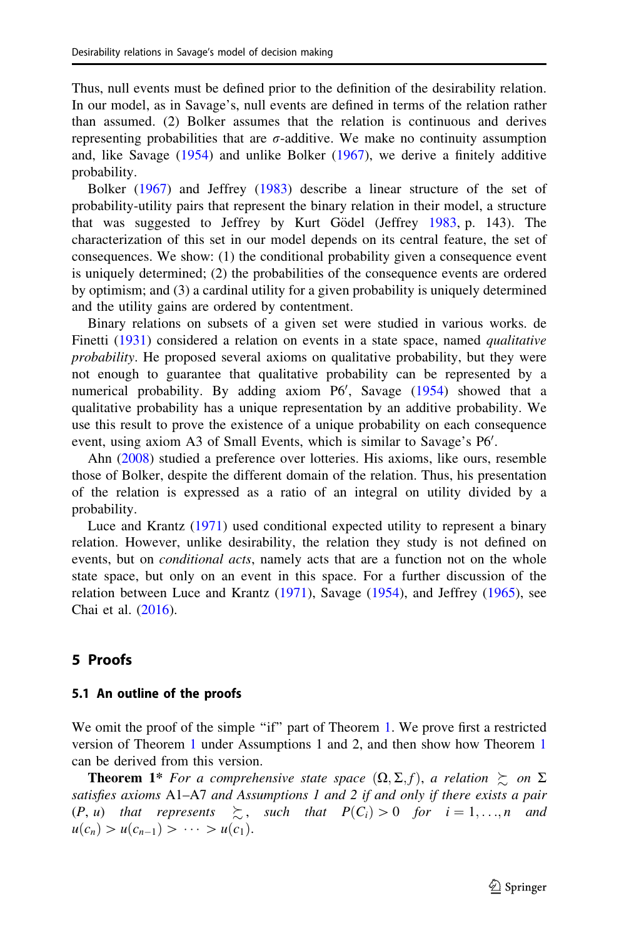Thus, null events must be defined prior to the definition of the desirability relation. In our model, as in Savage's, null events are defined in terms of the relation rather than assumed. (2) Bolker assumes that the relation is continuous and derives representing probabilities that are  $\sigma$ -additive. We make no continuity assumption and, like Savage [\(1954](#page-32-0)) and unlike Bolker ([1967\)](#page-32-0), we derive a finitely additive probability.

Bolker ([1967\)](#page-32-0) and Jeffrey [\(1983](#page-32-0)) describe a linear structure of the set of probability-utility pairs that represent the binary relation in their model, a structure that was suggested to Jeffrey by Kurt Gödel (Jeffrey [1983](#page-32-0), p. 143). The characterization of this set in our model depends on its central feature, the set of consequences. We show: (1) the conditional probability given a consequence event is uniquely determined; (2) the probabilities of the consequence events are ordered by optimism; and (3) a cardinal utility for a given probability is uniquely determined and the utility gains are ordered by contentment.

Binary relations on subsets of a given set were studied in various works. de Finetti [\(1931](#page-32-0)) considered a relation on events in a state space, named *qualitative* probability. He proposed several axioms on qualitative probability, but they were not enough to guarantee that qualitative probability can be represented by a numerical probability. By adding axiom P6', Savage [\(1954](#page-32-0)) showed that a qualitative probability has a unique representation by an additive probability. We use this result to prove the existence of a unique probability on each consequence event, using axiom A3 of Small Events, which is similar to Savage's P6'.

Ahn [\(2008](#page-32-0)) studied a preference over lotteries. His axioms, like ours, resemble those of Bolker, despite the different domain of the relation. Thus, his presentation of the relation is expressed as a ratio of an integral on utility divided by a probability.

Luce and Krantz [\(1971](#page-32-0)) used conditional expected utility to represent a binary relation. However, unlike desirability, the relation they study is not defined on events, but on *conditional acts*, namely acts that are a function not on the whole state space, but only on an event in this space. For a further discussion of the relation between Luce and Krantz [\(1971](#page-32-0)), Savage ([1954\)](#page-32-0), and Jeffrey [\(1965](#page-32-0)), see Chai et al. [\(2016](#page-32-0)).

### 5 Proofs

### 5.1 An outline of the proofs

We omit the proof of the simple "if" part of Theorem [1.](#page-13-0) We prove first a restricted version of Theorem [1](#page-13-0) under Assumptions 1 and 2, and then show how Theorem [1](#page-13-0) can be derived from this version.

**Theorem 1\*** For a comprehensive state space  $(\Omega, \Sigma, f)$ , a relation  $\succsim$  on  $\Sigma$ satisfies axioms A1–A7 and Assumptions 1 and 2 if and only if there exists a pair  $(P, u)$  that represents  $\succsim$ , such that  $P(C_i) > 0$  for  $i = 1, ..., n$  and  $u(c_n) > u(c_{n-1}) > \cdots > u(c_1).$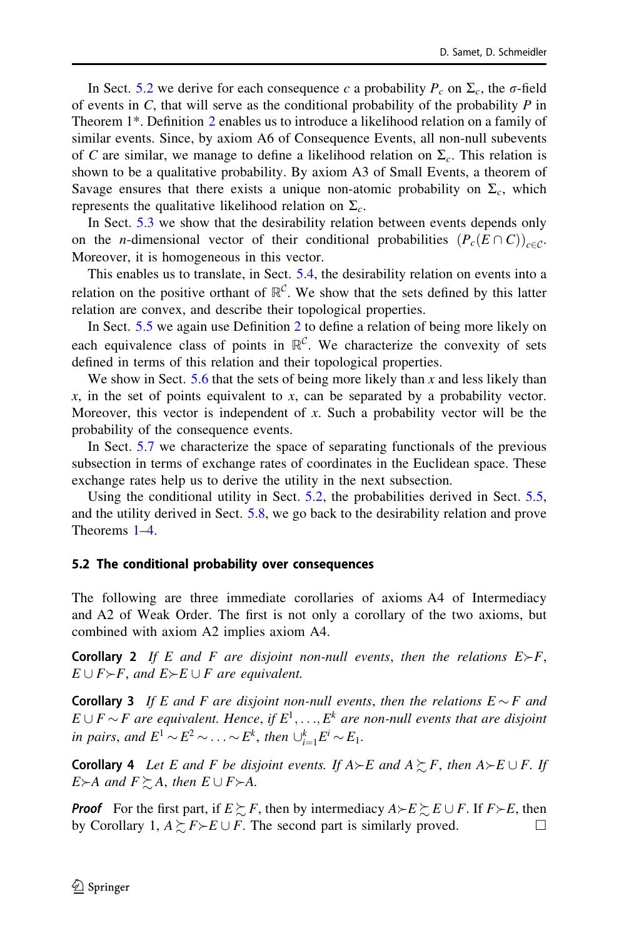<span id="page-17-0"></span>In Sect. 5.2 we derive for each consequence c a probability  $P_c$  on  $\Sigma_c$ , the  $\sigma$ -field of events in  $C$ , that will serve as the conditional probability of the probability  $P$  in Theorem 1\*. Definition [2](#page-11-0) enables us to introduce a likelihood relation on a family of similar events. Since, by axiom A6 of Consequence Events, all non-null subevents of C are similar, we manage to define a likelihood relation on  $\Sigma_c$ . This relation is shown to be a qualitative probability. By axiom A3 of Small Events, a theorem of Savage ensures that there exists a unique non-atomic probability on  $\Sigma_c$ , which represents the qualitative likelihood relation on  $\Sigma_c$ .

In Sect. [5.3](#page-19-0) we show that the desirability relation between events depends only on the *n*-dimensional vector of their conditional probabilities  $(P_c(E \cap C))_{c \in C}$ . Moreover, it is homogeneous in this vector.

This enables us to translate, in Sect. [5.4](#page-21-0), the desirability relation on events into a relation on the positive orthant of  $\mathbb{R}^{\mathcal{C}}$ . We show that the sets defined by this latter relation are convex, and describe their topological properties.

In Sect. [5.5](#page-23-0) we again use Definition [2](#page-11-0) to define a relation of being more likely on each equivalence class of points in  $\mathbb{R}^{\mathcal{C}}$ . We characterize the convexity of sets defined in terms of this relation and their topological properties.

We show in Sect. [5.6](#page-24-0) that the sets of being more likely than x and less likely than  $x$ , in the set of points equivalent to  $x$ , can be separated by a probability vector. Moreover, this vector is independent of  $x$ . Such a probability vector will be the probability of the consequence events.

In Sect. [5.7](#page-26-0) we characterize the space of separating functionals of the previous subsection in terms of exchange rates of coordinates in the Euclidean space. These exchange rates help us to derive the utility in the next subsection.

Using the conditional utility in Sect. 5.2, the probabilities derived in Sect. [5.5,](#page-23-0) and the utility derived in Sect. [5.8](#page-27-0), we go back to the desirability relation and prove Theorems [1](#page-13-0)[–4](#page-15-0).

### 5.2 The conditional probability over consequences

The following are three immediate corollaries of axioms A4 of Intermediacy and A2 of Weak Order. The first is not only a corollary of the two axioms, but combined with axiom A2 implies axiom A4.

**Corollary 2** If E and F are disjoint non-null events, then the relations  $E \succ F$ ,  $E \cup F \succ F$ , and  $E \succ E \cup F$  are equivalent.

**Corollary 3** If E and F are disjoint non-null events, then the relations  $E \sim F$  and  $E \cup F \sim F$  are equivalent. Hence, if  $E^1, \ldots, E^k$  are non-null events that are disjoint in pairs, and  $E^1 \sim E^2 \sim \ldots \sim E^k$ , then  $\cup_{i=1}^k E^i \sim E_1$ .

**Corollary 4** Let E and F be disjoint events. If  $A \succeq E$  and  $A \succeq F$ , then  $A \succeq E \cup F$ . If  $E \rightarrow A$  and  $F \succeq A$ , then  $E \cup F \rightarrow A$ .

**Proof** For the first part, if  $E \succeq F$ , then by intermediacy  $A \succ E \succeq E \cup F$ . If  $F \succ E$ , then by Corollary 1,  $A \succeq F \rightarrow E \cup F$ . The second part is similarly proved.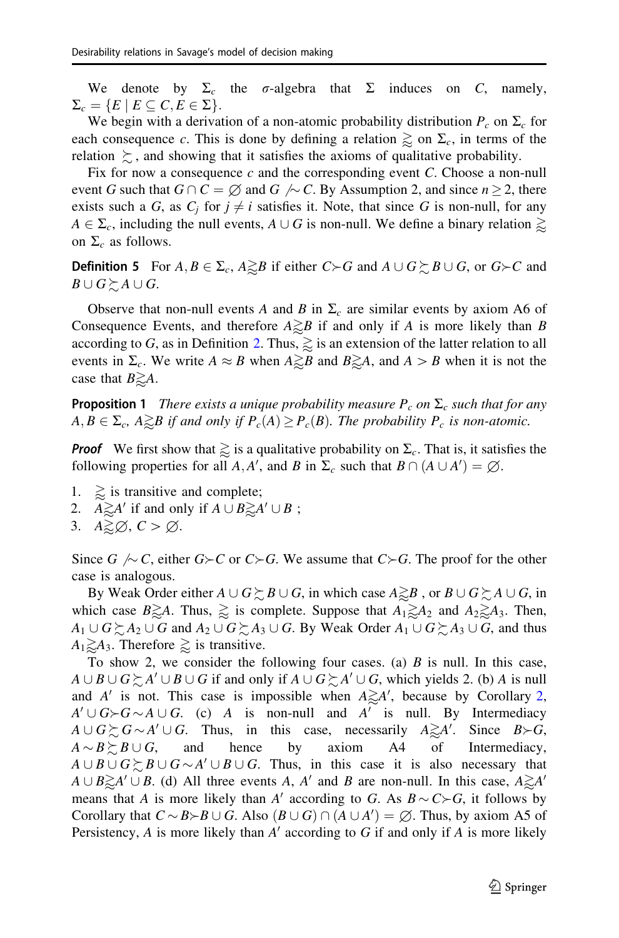<span id="page-18-0"></span>We denote by  $\Sigma_c$  the  $\sigma$ -algebra that  $\Sigma$  induces on C, namely,  $\Sigma_c = \{ E \mid E \subseteq C, E \in \Sigma \}.$ 

We begin with a derivation of a non-atomic probability distribution  $P_c$  on  $\Sigma_c$  for each consequence c. This is done by defining a relation  $\geq$  on  $\Sigma_c$ , in terms of the relation  $\geq$ , and showing that it satisfies the axioms of qualitative probability.

Fix for now a consequence  $c$  and the corresponding event C. Choose a non-null event G such that  $G \cap C = \emptyset$  and  $G \sim C$ . By Assumption 2, and since  $n \ge 2$ , there exists such a G, as  $C_i$  for  $j \neq i$  satisfies it. Note, that since G is non-null, for any  $A \in \Sigma_c$ , including the null events,  $A \cup G$  is non-null. We define a binary relation  $\gtrsim$ on  $\Sigma_c$  as follows.

**Definition 5** For  $A, B \in \Sigma_c$ ,  $A \gtrsim B$  if either  $C \rightarrow G$  and  $A \cup G \gtrsim B \cup G$ , or  $G \rightarrow C$  and  $B \cup G \succcurlyeq A \cup G.$ 

Observe that non-null events A and B in  $\Sigma_c$  are similar events by axiom A6 of Consequence Events, and therefore  $A \gtrsim B$  if and only if A is more likely than B according to G, as in Definition [2.](#page-11-0) Thus,  $\geq$  is an extension of the latter relation to all events in  $\Sigma_c$ . We write  $A \approx B$  when  $A \gtrsim B$  and  $B \gtrsim A$ , and  $A > B$  when it is not the case that  $B \gtrsim A$ .

**Proposition 1** There exists a unique probability measure  $P_c$  on  $\Sigma_c$  such that for any  $A, B \in \Sigma_c$ ,  $A \gtrsim B$  if and only if  $P_c(A) \ge P_c(B)$ . The probability  $P_c$  is non-atomic.

**Proof** We first show that  $\geq$  is a qualitative probability on  $\Sigma_c$ . That is, it satisfies the following properties for all A, A', and B in  $\Sigma_c$  such that  $B \cap (A \cup A') = \emptyset$ .

- 1.  $\geq$  is transitive and complete;
- 2.  $A \gtrsim A'$  if and only if  $A \cup B \gtrsim A' \cup B$ ;
- 3.  $A \gtrsim \emptyset$ ,  $C > \emptyset$ .

Since  $G \sim C$ , either  $G \succ C$  or  $C \succ G$ . We assume that  $C \succ G$ . The proof for the other case is analogous.

By Weak Order either  $A \cup G \succsim B \cup G$ , in which case  $A \gtrsim B$ , or  $B \cup G \succsim A \cup G$ , in which case  $B \gtrsim A$ . Thus,  $\gtrsim$  is complete. Suppose that  $A_1 \gtrsim A_2$  and  $A_2 \gtrsim A_3$ . Then,  $A_1 \cup G \succsim A_2 \cup G$  and  $A_2 \cup G \succsim A_3 \cup G$ . By Weak Order  $A_1 \cup G \succsim A_3 \cup G$ , and thus  $A_1 \gtrsim A_3$ . Therefore  $\gtrsim$  is transitive.

To show 2, we consider the following four cases. (a)  $\hat{B}$  is null. In this case,  $A \cup B \cup G \succeq A' \cup B \cup G$  if and only if  $A \cup G \succeq A' \cup G$ , which yields 2. (b) A is null and A' is not. This case is impossible when  $A \gtrsim A'$ , because by Corollary [2,](#page-17-0)  $A' \cup G \rightarrow G \sim A \cup G$ . (c) A is non-null and A' is null. By Intermediacy  $A \cup G \succsim G \sim A' \cup G$ . Thus, in this case, necessarily  $A \gtrsim A'$ . Since  $B \rightarrow G$ ,  $A \sim B \succcurlyeq B \cup G$ , and hence by axiom A4 of Intermediacy,  $A \cup B \cup G \succeq B \cup G \sim A' \cup B \cup G$ . Thus, in this case it is also necessary that  $A \cup B \geq A' \cup B$ . (d) All three events A, A' and B are non-null. In this case,  $A \geq A'$ means that A is more likely than A' according to G. As  $B \sim C \succ G$ , it follows by Corollary that  $C \sim B \succ B \cup G$ . Also  $(B \cup G) \cap (A \cup A') = \emptyset$ . Thus, by axiom A5 of Persistency, A is more likely than  $A'$  according to G if and only if A is more likely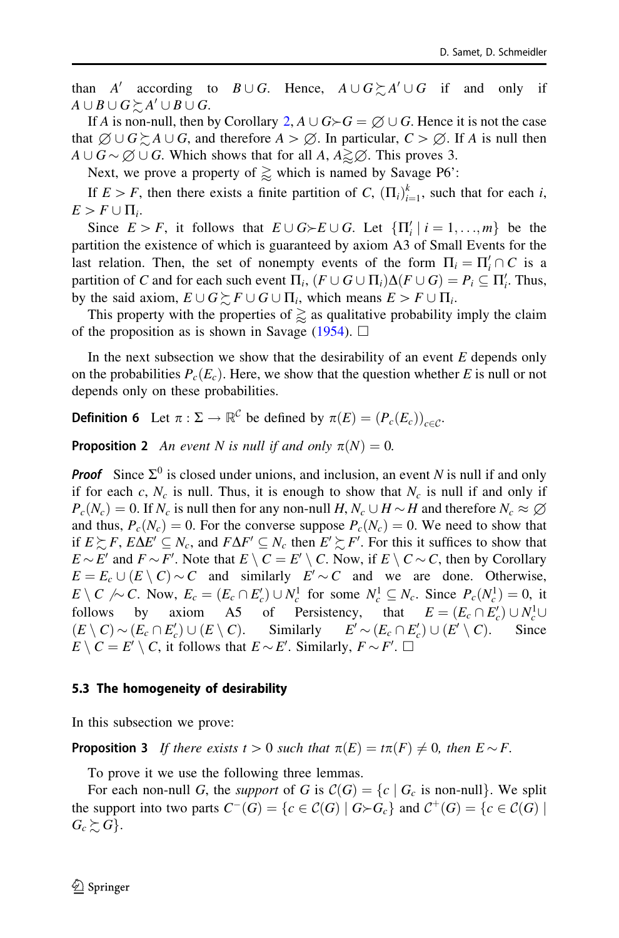<span id="page-19-0"></span>than A' according to  $B \cup G$ . Hence,  $A \cup G \succeq A' \cup G$  if and only if  $A \cup B \cup G \succsim A' \cup B \cup G.$ 

If A is non-null, then by Corollary [2](#page-17-0),  $A \cup G \rightarrowtail G = \emptyset \cup G$ . Hence it is not the case that  $\emptyset \cup G \subset A \cup G$ , and therefore  $A > \emptyset$ . In particular,  $C > \emptyset$ . If A is null then  $A \cup G \sim \emptyset \cup G$ . Which shows that for all  $A, A \gtrsim \emptyset$ . This proves 3.

Next, we prove a property of  $\geq$  which is named by Savage P6':

If  $E > F$ , then there exists a finite partition of C,  $(\Pi_i)_{i=1}^k$ , such that for each i,  $E > F \cup \prod_i$ .

Since  $E > F$ , it follows that  $E \cup G \succ E \cup G$ . Let  $\{\Pi'_i | i = 1, ..., m\}$  be the partition the existence of which is guaranteed by axiom A3 of Small Events for the last relation. Then, the set of nonempty events of the form  $\Pi_i = \Pi'_i \cap C$  is a partition of C and for each such event  $\Pi_i$ ,  $(F \cup G \cup \Pi_i) \Delta(F \cup G) = P_i \subseteq \Pi'_i$ . Thus, by the said axiom,  $E \cup G \subsetneq F \cup G \cup \Pi_i$ , which means  $E > F \cup \Pi_i$ .

This property with the properties of  $\geq$  as qualitative probability imply the claim of the proposition as is shown in Savage ([1954\)](#page-32-0).  $\Box$ 

In the next subsection we show that the desirability of an event  $E$  depends only on the probabilities  $P_c(E_c)$ . Here, we show that the question whether E is null or not depends only on these probabilities.

**Definition 6** Let  $\pi : \Sigma \to \mathbb{R}^{\mathcal{C}}$  be defined by  $\pi(E) = (P_c(E_c))_{c \in \mathcal{C}}$ .

**Proposition 2** An event N is null if and only  $\pi(N) = 0$ .

**Proof** Since  $\Sigma^0$  is closed under unions, and inclusion, an event N is null if and only if for each c,  $N_c$  is null. Thus, it is enough to show that  $N_c$  is null if and only if  $P_c(N_c) = 0$ . If  $N_c$  is null then for any non-null H,  $N_c \cup H \sim H$  and therefore  $N_c \approx \emptyset$ and thus,  $P_c(N_c) = 0$ . For the converse suppose  $P_c(N_c) = 0$ . We need to show that if  $E \succsim F$ ,  $E \Delta E' \subseteq N_c$ , and  $F \Delta F' \subseteq N_c$  then  $E' \succsim F'$ . For this it suffices to show that  $E \sim E'$  and  $F \sim F'$ . Note that  $E \setminus C = E' \setminus C$ . Now, if  $E \setminus C \sim C$ , then by Corollary  $E = E_c \cup (E \setminus C) \sim C$  and similarly  $E' \sim C$  and we are done. Otherwise,  $E \setminus C \not\sim C$ . Now,  $E_c = (E_c \cap E_c') \cup N_c^1$  for some  $N_c^1 \subseteq N_c$ . Since  $P_c(N_c^1) = 0$ , it follows by axiom A5 of Persistency, that  $E = (E_c \cap E_c') \cup N_c^1 \cup$  $(E \setminus C) \sim (E_c \cap E_c') \cup (E \setminus C).$  $c'_c$ )  $\cup$   $(E \setminus C)$ . Similarly  $E' \sim (E_c \cap E'_c) \cup (E' \setminus C)$ . Since  $E \setminus C = E' \setminus C$ , it follows that  $E \sim E'$ . Similarly,  $F \sim F'$ .  $\Box$ 

### 5.3 The homogeneity of desirability

In this subsection we prove:

**Proposition 3** If there exists  $t > 0$  such that  $\pi(E) = t\pi(F) \neq 0$ , then  $E \sim F$ .

To prove it we use the following three lemmas.

For each non-null G, the *support* of G is  $C(G) = \{c \mid G_c$  is non-null. We split the support into two parts  $C^-(G) = \{c \in C(G) \mid G \succ G_c\}$  and  $C^+(G) = \{c \in C(G) \mid G \succ G_c\}$  $G_c \succsim G$ .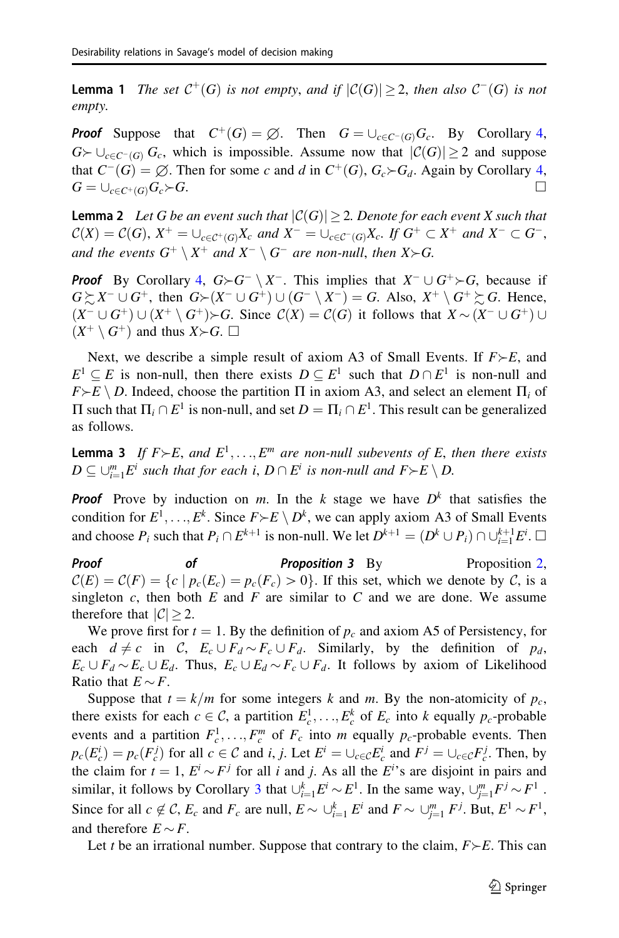<span id="page-20-0"></span>**Lemma 1** The set  $C^+(G)$  is not empty, and if  $|C(G)| \geq 2$ , then also  $C^-(G)$  is not empty.

**Proof** Suppose that  $C^+(G) = \emptyset$ . Then  $G = \bigcup_{c \in C^-(G)} G_c$ . By Corollary [4,](#page-17-0)  $G \rightarrow \bigcup_{c \in C^-(G)} G_c$ , which is impossible. Assume now that  $|C(G)| \geq 2$  and suppose that  $C^-(G) = \emptyset$ . Then for some c and d in  $C^+(G)$ ,  $G_c \rightarrow G_d$ . Again by Corollary [4,](#page-17-0)  $G = \bigcup_{c \in C^+(G)} G_c \rightarrow G$ .

**Lemma 2** Let G be an event such that  $|C(G)| \geq 2$ . Denote for each event X such that  $\mathcal{C}(X)=\mathcal{C}(G), X^+=\cup_{c\in\mathcal{C}^+(G)}X_c$  and  $X^-=\cup_{c\in\mathcal{C}^-(G)}X_c$ . If  $G^+\subset X^+$  and  $X^-\subset G^-,$ and the events  $G^+ \setminus X^+$  and  $X^- \setminus G^-$  are non-null, then  $X \rightarrow G$ .

**Proof** By Corollary [4,](#page-17-0)  $G \rightarrow G^- \setminus X^-$ . This implies that  $X^- \cup G^+ \rightarrow G$ , because if  $G \succsim X^- \cup G^+$ , then  $G \succ (X^- \cup G^+) \cup (G^- \setminus X^-) = G$ . Also,  $X^+ \setminus G^+ \succsim G$ . Hence,  $(X^- \cup G^+) \cup (X^+ \setminus G^+) \rightarrow G$ . Since  $\mathcal{C}(X) = \mathcal{C}(G)$  it follows that  $X \sim (X^- \cup G^+) \cup G$  $(X^+ \setminus G^+)$  and thus  $X \rightarrow G$ .  $\Box$ 

Next, we describe a simple result of axiom A3 of Small Events. If  $F \rightarrow E$ , and  $E^1 \subseteq E$  is non-null, then there exists  $D \subseteq E^1$  such that  $D \cap E^1$  is non-null and  $F \rightarrow E \setminus D$ . Indeed, choose the partition  $\Pi$  in axiom A3, and select an element  $\Pi_i$  of  $\Pi$  such that  $\Pi_i \cap E^1$  is non-null, and set  $D = \Pi_i \cap E^1$ . This result can be generalized as follows.

**Lemma 3** If  $F \succ E$ , and  $E^1, \ldots, E^m$  are non-null subevents of E, then there exists  $D \subseteq \cup_{i=1}^m E^i$  such that for each i,  $D \cap E^i$  is non-null and  $F \rightarrow E \setminus D$ .

**Proof** Prove by induction on m. In the k stage we have  $D<sup>k</sup>$  that satisfies the condition for  $E^1, \ldots, E^k$ . Since  $F \rightarrow E \setminus D^k$ , we can apply axiom A3 of Small Events and choose  $P_i$  such that  $P_i \cap E^{k+1}$  is non-null. We let  $D^{k+1} = (D^k \cup P_i) \cap \bigcup_{i=1}^{k+1} E^i$ .

Proof **of Proposition 3** By Proposition [2,](#page-19-0)  $\mathcal{C}(E) = \mathcal{C}(F) = \{c \mid p_c(E_c) = p_c(F_c) > 0\}$ . If this set, which we denote by C, is a singleton c, then both  $E$  and  $F$  are similar to  $C$  and we are done. We assume therefore that  $|C| \geq 2$ .

We prove first for  $t = 1$ . By the definition of  $p_c$  and axiom A5 of Persistency, for each  $d \neq c$  in C,  $E_c \cup F_d \sim F_c \cup F_d$ . Similarly, by the definition of  $p_d$ ,  $E_c \cup F_d \sim E_c \cup E_d$ . Thus,  $E_c \cup E_d \sim F_c \cup F_d$ . It follows by axiom of Likelihood Ratio that  $E \sim F$ .

Suppose that  $t = k/m$  for some integers k and m. By the non-atomicity of  $p_c$ , there exists for each  $c \in \mathcal{C}$ , a partition  $E_c^1, \ldots, E_c^k$  of  $E_c$  into k equally  $p_c$ -probable events and a partition  $F_c^1, \ldots, F_c^m$  of  $F_c$  into m equally  $p_c$ -probable events. Then  $p_c(E_c^i) = p_c(F_c^j)$  for all  $c \in C$  and i, j. Let  $E^i = \cup_{c \in C} E_c^i$  and  $F^j = \cup_{c \in C} F_c^j$ . Then, by the claim for  $t = 1$ ,  $E^i \sim F^j$  for all i and j. As all the  $E^{i*}$ s are disjoint in pairs and similar, it follows by Corollary [3](#page-17-0) that  $\cup_{i=1}^k E^i \sim E^1$ . In the same way,  $\cup_{j=1}^m F^j \sim F^1$ . Since for all  $c \notin \mathcal{C}$ ,  $E_c$  and  $F_c$  are null,  $E \sim \bigcup_{i=1}^k E^i$  and  $F \sim \bigcup_{j=1}^m F^j$ . But,  $E^1 \sim F^1$ , and therefore  $E \sim F$ .

Let t be an irrational number. Suppose that contrary to the claim,  $F \rightarrow E$ . This can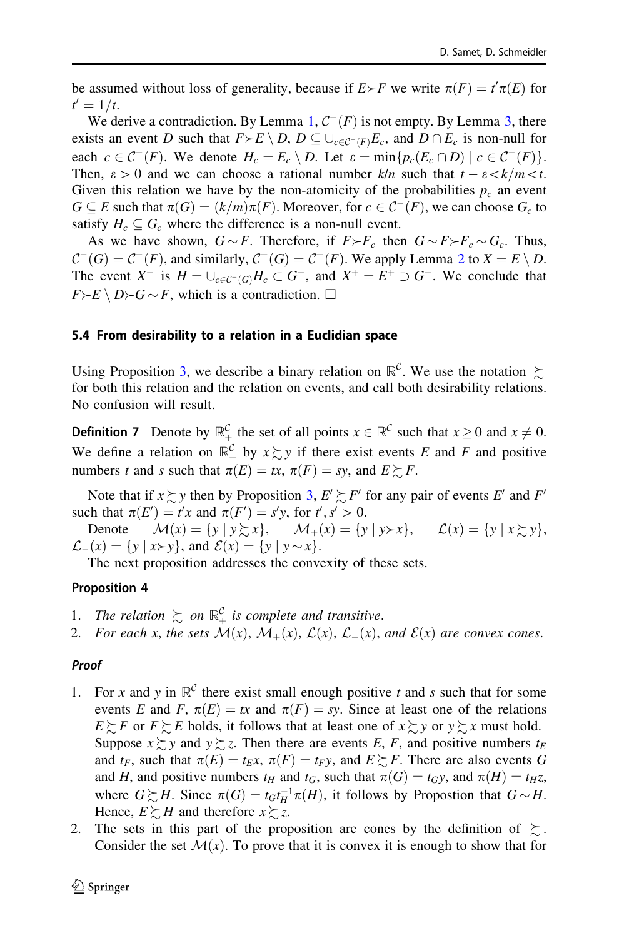<span id="page-21-0"></span>be assumed without loss of generality, because if  $E \rightarrow F$  we write  $\pi(F) = t'\pi(E)$  for  $t' = 1/t$ .

We derive a contradiction. By Lemma [1,](#page-20-0)  $C^-(F)$  is not empty. By Lemma [3](#page-20-0), there exists an event D such that  $F \rightarrow E \setminus D$ ,  $D \subseteq \bigcup_{c \in C^{-}(F)} E_c$ , and  $D \cap E_c$  is non-null for each  $c \in \mathcal{C}^{-}(F)$ . We denote  $H_c = E_c \setminus D$ . Let  $\varepsilon = \min\{p_c(E_c \cap D) \mid c \in \mathcal{C}^{-}(F)\}.$ Then,  $\varepsilon > 0$  and we can choose a rational number  $k/n$  such that  $t - \varepsilon \lt k/m \lt t$ . Given this relation we have by the non-atomicity of the probabilities  $p_c$  an event  $G \subseteq E$  such that  $\pi(G) = (k/m)\pi(F)$ . Moreover, for  $c \in C^{-}(F)$ , we can choose  $G_c$  to satisfy  $H_c \subseteq G_c$  where the difference is a non-null event.

As we have shown,  $G \sim F$ . Therefore, if  $F \succ F_c$  then  $G \sim F \succ F_c \sim G_c$ . Thus,  $C^-(G) = C^-(F)$ , and similarly,  $C^+(G) = C^+(F)$ . We apply Lemma [2](#page-20-0) to  $X = E \setminus D$ . The event X<sup>-</sup> is  $H = \bigcup_{c \in C^-(G)} H_c \subset G^-$ , and  $X^+ = E^+ \supset G^+$ . We conclude that  $F \rightarrow E \setminus D \rightarrow G \sim F$ , which is a contradiction.  $\Box$ 

### 5.4 From desirability to a relation in a Euclidian space

Using Proposition [3](#page-19-0), we describe a binary relation on  $\mathbb{R}^{\mathcal{C}}$ . We use the notation  $\succsim$ for both this relation and the relation on events, and call both desirability relations. No confusion will result.

**Definition 7** Denote by  $\mathbb{R}^C_+$  the set of all points  $x \in \mathbb{R}^C$  such that  $x \ge 0$  and  $x \ne 0$ . We define a relation on  $\mathbb{R}_+^{\mathcal{C}}$  by  $x \succsim y$  if there exist events E and F and positive numbers t and s such that  $\pi(E) = tx$ ,  $\pi(F) = sy$ , and  $E \succeq F$ .

Note that if  $x \succeq y$  then by Proposition [3,](#page-19-0)  $E' \succeq F'$  for any pair of events E' and F' such that  $\pi(E') = t'x$  and  $\pi(F') = s'y$ , for  $t', s' > 0$ .

Denote  $\mathcal{M}(x) = \{y \mid y \succcurlyeq x\}, \quad \mathcal{M}_+(x) = \{y \mid y \succ x\}, \quad \mathcal{L}(x) = \{y \mid x \succcurlyeq y\},\$  $\mathcal{L}^-(x) = \{y \mid x \succ y\}$ , and  $\mathcal{E}(x) = \{y \mid y \sim x\}.$ 

The next proposition addresses the convexity of these sets.

### Proposition 4

- 1. The relation  $\sum_{n=1}^{\infty}$  on  $\mathbb{R}^{\mathcal{C}}_+$  is complete and transitive.
- 2. For each x, the sets  $\mathcal{M}(x)$ ,  $\mathcal{M}_+(x)$ ,  $\mathcal{L}(x)$ ,  $\mathcal{L}_-(x)$ , and  $\mathcal{E}(x)$  are convex cones.

### Proof

- 1. For x and y in  $\mathbb{R}^{\mathcal{C}}$  there exist small enough positive t and s such that for some events E and F,  $\pi(E) = tx$  and  $\pi(F) = sy$ . Since at least one of the relations  $E \succeq F$  or  $F \succeq E$  holds, it follows that at least one of  $x \succeq y$  or  $y \succeq x$  must hold. Suppose  $x \gtrsim y$  and  $y \gtrsim z$ . Then there are events E, F, and positive numbers  $t_E$ and  $t_F$ , such that  $\pi(E) = t_F x$ ,  $\pi(F) = t_F y$ , and  $E \gtrsim F$ . There are also events G and H, and positive numbers  $t_H$  and  $t_G$ , such that  $\pi(G) = t_G y$ , and  $\pi(H) = t_H z$ , where  $G \succsim H$ . Since  $\pi(G) = t_G t_H^{-1} \pi(H)$ , it follows by Propostion that  $G \sim H$ . Hence,  $E \succeq H$  and therefore  $x \succeq z$ .
- 2. The sets in this part of the proposition are cones by the definition of  $\sum$ . Consider the set  $\mathcal{M}(x)$ . To prove that it is convex it is enough to show that for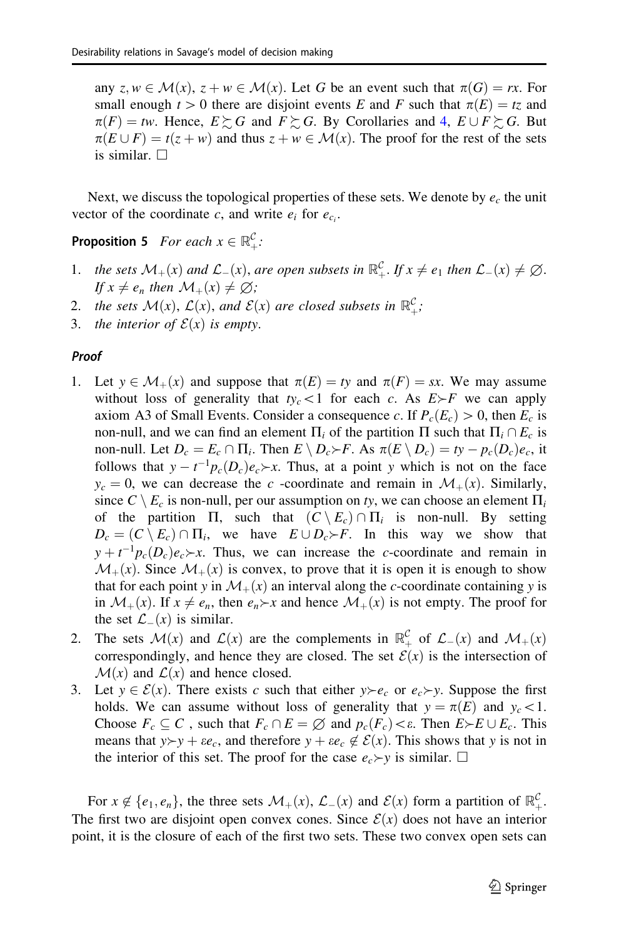<span id="page-22-0"></span>any  $z, w \in \mathcal{M}(x), z + w \in \mathcal{M}(x)$ . Let G be an event such that  $\pi(G) = rx$ . For small enough  $t > 0$  there are disjoint events E and F such that  $\pi(E) = tz$  and  $\pi(F) = tw$ . Hence,  $E \gtrsim G$  and  $F \gtrsim G$ . By Corollaries and [4,](#page-17-0)  $E \cup F \gtrsim G$ . But  $\pi(E \cup F) = t(z + w)$  and thus  $z + w \in \mathcal{M}(x)$ . The proof for the rest of the sets is similar.  $\Box$ 

Next, we discuss the topological properties of these sets. We denote by  $e_c$  the unit vector of the coordinate c, and write  $e_i$  for  $e_{c_i}$ .

**Proposition 5** For each  $x \in \mathbb{R}^{\mathcal{C}}_+$ :

- 1. the sets  $\mathcal{M}_+(x)$  and  $\mathcal{L}_-(x)$ , are open subsets in  $\mathbb{R}^{\mathcal{C}}_+$ . If  $x \neq e_1$  then  $\mathcal{L}_-(x) \neq \emptyset$ . If  $x \neq e_n$  then  $\mathcal{M}_+(x) \neq \emptyset$ ;
- 2. the sets  $\mathcal{M}(x)$ ,  $\mathcal{L}(x)$ , and  $\mathcal{E}(x)$  are closed subsets in  $\mathbb{R}^{\mathcal{C}}_+$ ;
- 3. the interior of  $\mathcal{E}(x)$  is empty.

### Proof

- 1. Let  $y \in M_+(x)$  and suppose that  $\pi(E) = ty$  and  $\pi(F) = sx$ . We may assume without loss of generality that  $tyc\lt1$  for each c. As  $E\gt F$  we can apply axiom A3 of Small Events. Consider a consequence c. If  $P_c(E_c) > 0$ , then  $E_c$  is non-null, and we can find an element  $\Pi_i$  of the partition  $\Pi$  such that  $\Pi_i \cap E_c$  is non-null. Let  $D_c = E_c \cap \Pi_i$ . Then  $E \setminus D_c \succ F$ . As  $\pi(E \setminus D_c) = ty - p_c(D_c)e_c$ , it follows that  $y - t^{-1} p_c(D_c) e_c \rangle x$ . Thus, at a point y which is not on the face  $y_c = 0$ , we can decrease the c -coordinate and remain in  $\mathcal{M}_+(x)$ . Similarly, since  $C \setminus E_c$  is non-null, per our assumption on ty, we can choose an element  $\Pi_i$ of the partition  $\Pi$ , such that  $(C \setminus E_c) \cap \Pi_i$  is non-null. By setting  $D_c = (C \setminus E_c) \cap \Pi_i$ , we have  $E \cup D_c \succ F$ . In this way we show that  $y + t^{-1} p_c(D_c) e_c \rangle x$ . Thus, we can increase the c-coordinate and remain in  $\mathcal{M}_{+}(x)$ . Since  $\mathcal{M}_{+}(x)$  is convex, to prove that it is open it is enough to show that for each point y in  $\mathcal{M}_+(x)$  an interval along the c-coordinate containing y is in  $\mathcal{M}_+(x)$ . If  $x \neq e_n$ , then  $e_n \rightarrow x$  and hence  $\mathcal{M}_+(x)$  is not empty. The proof for the set  $\mathcal{L}(\mathbf{x})$  is similar.
- 2. The sets  $\mathcal{M}(x)$  and  $\mathcal{L}(x)$  are the complements in  $\mathbb{R}^{\mathcal{C}}_+$  of  $\mathcal{L}_-(x)$  and  $\mathcal{M}_+(x)$ correspondingly, and hence they are closed. The set  $\mathcal{E}(x)$  is the intersection of  $\mathcal{M}(x)$  and  $\mathcal{L}(x)$  and hence closed.
- 3. Let  $y \in \mathcal{E}(x)$ . There exists c such that either  $y \succ e_c$  or  $e_c \succ y$ . Suppose the first holds. We can assume without loss of generality that  $y = \pi(E)$  and  $y_c < 1$ . Choose  $F_c \subseteq C$ , such that  $F_c \cap E = \emptyset$  and  $p_c(F_c) < \varepsilon$ . Then  $E \rightarrow E \cup E_c$ . This means that  $y \rightarrow y + \varepsilon e_c$ , and therefore  $y + \varepsilon e_c \notin \mathcal{E}(x)$ . This shows that y is not in the interior of this set. The proof for the case  $e_c \rightarrow y$  is similar.  $\Box$

For  $x \notin \{e_1, e_n\}$ , the three sets  $\mathcal{M}_+(x)$ ,  $\mathcal{L}_-(x)$  and  $\mathcal{E}(x)$  form a partition of  $\mathbb{R}^{\mathcal{C}}_+$ . The first two are disjoint open convex cones. Since  $\mathcal{E}(x)$  does not have an interior point, it is the closure of each of the first two sets. These two convex open sets can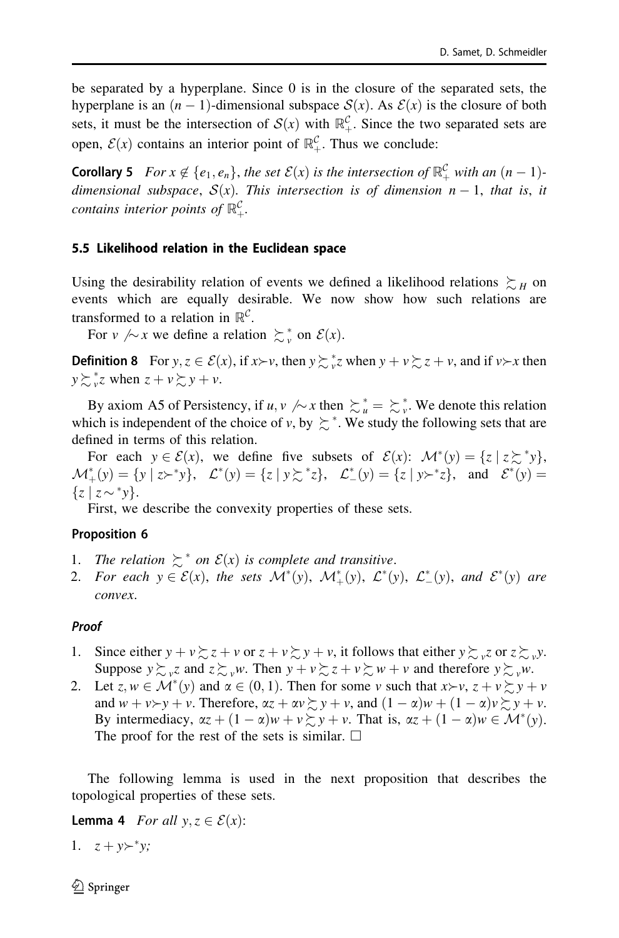<span id="page-23-0"></span>be separated by a hyperplane. Since 0 is in the closure of the separated sets, the hyperplane is an  $(n - 1)$ -dimensional subspace  $S(x)$ . As  $\mathcal{E}(x)$  is the closure of both sets, it must be the intersection of  $S(x)$  with  $\mathbb{R}^{\mathcal{C}}_+$ . Since the two separated sets are open,  $\mathcal{E}(x)$  contains an interior point of  $\mathbb{R}^{\mathcal{C}}_+$ . Thus we conclude:

**Corollary 5** For  $x \notin \{e_1, e_n\}$ , the set  $\mathcal{E}(x)$  is the intersection of  $\mathbb{R}^{\mathcal{C}}_+$  with an  $(n-1)$ dimensional subspace,  $S(x)$ . This intersection is of dimension  $n - 1$ , that is, it contains interior points of  $\mathbb{R}^{\mathcal{C}}_+$ .

### 5.5 Likelihood relation in the Euclidean space

Using the desirability relation of events we defined a likelihood relations  $\sum_{H}$  on events which are equally desirable. We now show how such relations are transformed to a relation in  $\mathbb{R}^{\mathcal{C}}$ .

For  $v \sim x$  we define a relation  $\sum_{v}^{*}$  on  $\mathcal{E}(x)$ .

**Definition 8** For  $y, z \in \mathcal{E}(x)$ , if  $x \succ v$ , then  $y \succsim_y^* z$  when  $y + v \succsim z + v$ , and if  $v \succ x$  then  $y \gtrsim v^*z$  when  $z + v \gtrsim y + v$ .

By axiom A5 of Persistency, if  $u, v \nightharpoondown x$  then  $\sum_{u=0}^{n} \sum_{v=0}^{n} w$  we denote this relation which is independent of the choice of v, by  $\sum^*$ . We study the following sets that are defined in terms of this relation.

For each  $y \in \mathcal{E}(x)$ , we define five subsets of  $\mathcal{E}(x)$ :  $\mathcal{M}^*(y) = \{z \mid z \succsim^* y\}$ ,  $\mathcal{M}^*_+(y) = \{y \mid z \succ^* y\}, \quad \mathcal{L}^*(y) = \{z \mid y \succ^* z\}, \quad \mathcal{L}^*(y) = \{z \mid y \succ^* z\}, \quad \text{and} \quad \mathcal{E}^*(y) =$  ${z \mid z \sim y}.$ 

First, we describe the convexity properties of these sets.

### Proposition 6

- 1. The relation  $\sum_{i=1}^{\infty}$  on  $\mathcal{E}(x)$  is complete and transitive.
- 2. For each  $y \in \mathcal{E}(x)$ , the sets  $\mathcal{M}^*(y)$ ,  $\mathcal{M}^*_+(y)$ ,  $\mathcal{L}^*(y)$ ,  $\mathcal{L}^*(y)$ , and  $\mathcal{E}^*(y)$  are convex.

### Proof

- 1. Since either  $y + v \gtrsim z + v$  or  $z + v \gtrsim y + v$ , it follows that either  $y \gtrsim_{v} z$  or  $z \gtrsim_{v} y$ . Suppose  $y \gtrsim_{v} z$  and  $z \gtrsim_{v} w$ . Then  $y + v \gtrsim z + v \gtrsim w + v$  and therefore  $y \gtrsim_{v} w$ .
- 2. Let  $z, w \in M^*(y)$  and  $\alpha \in (0, 1)$ . Then for some v such that  $x \rightarrow v$ ,  $z + v \succsim y + v$ and  $w + v > y + v$ . Therefore,  $\alpha z + \alpha v \succeq y + v$ , and  $(1 - \alpha)w + (1 - \alpha)v \succeq y + v$ . By intermediacy,  $\alpha z + (1 - \alpha)w + v \gtrsim y + v$ . That is,  $\alpha z + (1 - \alpha)w \in \mathcal{M}^*(y)$ . The proof for the rest of the sets is similar.  $\Box$

The following lemma is used in the next proposition that describes the topological properties of these sets.

**Lemma 4** For all  $y, z \in \mathcal{E}(x)$ :

1. 
$$
z + y \succ^* y
$$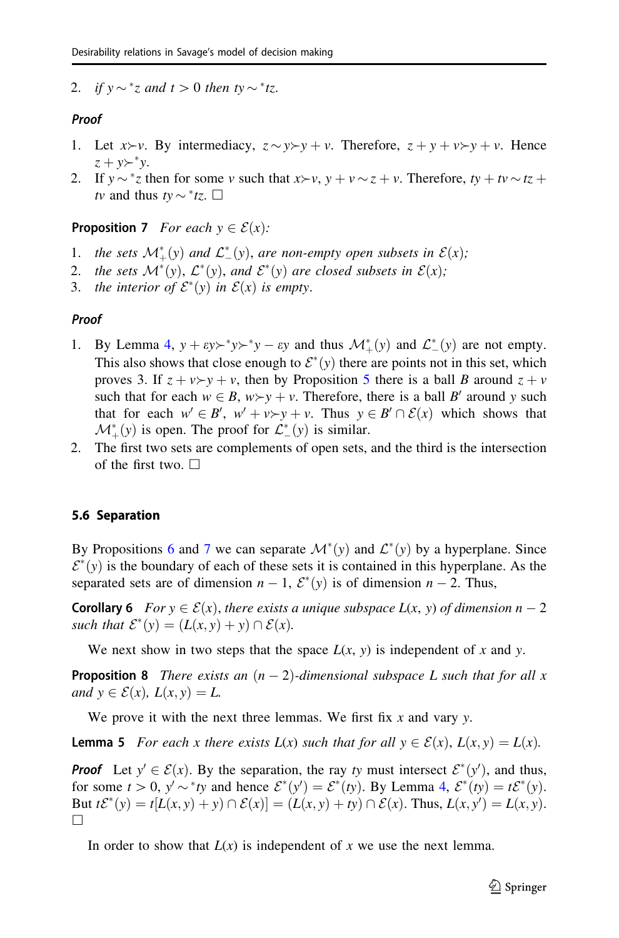<span id="page-24-0"></span>2. if  $y \sim^* z$  and  $t > 0$  then ty  $\sim^* t z$ .

### Proof

- 1. Let  $x \rightarrow v$ . By intermediacy,  $z \rightarrow y \rightarrow y + v$ . Therefore,  $z + y + v \rightarrow y + v$ . Hence  $z + y \succ^* y$ .
- 2. If  $y \sim^* z$  then for some v such that  $x \succ v$ ,  $y + v \sim z + v$ . Therefore,  $ty + tv \sim tz + v$ tv and thus  $t v \sim {}^*t z$ .  $\Box$

**Proposition 7** For each  $y \in \mathcal{E}(x)$ :

- 1. the sets  $\mathcal{M}_{+}^{*}(y)$  and  $\mathcal{L}_{-}^{*}(y)$ , are non-empty open subsets in  $\mathcal{E}(x)$ ;
- 2. the sets  $\mathcal{M}^*(y)$ ,  $\mathcal{L}^*(y)$ , and  $\mathcal{E}^*(y)$  are closed subsets in  $\mathcal{E}(x)$ ;
- 3. the interior of  $\mathcal{E}^*(y)$  in  $\mathcal{E}(x)$  is empty.

### Proof

- 1. By Lemma [4,](#page-23-0)  $y + \varepsilon y \succ^* y \succ^* y \varepsilon y$  and thus  $\mathcal{M}^*_+(y)$  and  $\mathcal{L}^*_-(y)$  are not empty. This also shows that close enough to  $\mathcal{E}^*(y)$  there are points not in this set, which proves 3. If  $z + v > v + v$ , then by Proposition [5](#page-22-0) there is a ball B around  $z + v$ such that for each  $w \in B$ ,  $w \rightarrow y + v$ . Therefore, there is a ball B' around y such that for each  $w' \in B'$ ,  $w' + v > y + v$ . Thus  $y \in B' \cap \mathcal{E}(x)$  which shows that  $\mathcal{M}^*_{+}(y)$  is open. The proof for  $\mathcal{L}^*_{-}(y)$  is similar.
- 2. The first two sets are complements of open sets, and the third is the intersection of the first two.  $\Box$

### 5.6 Separation

By Propositions [6](#page-23-0) and 7 we can separate  $\mathcal{M}^*(y)$  and  $\mathcal{L}^*(y)$  by a hyperplane. Since  $\mathcal{E}^*(y)$  is the boundary of each of these sets it is contained in this hyperplane. As the separated sets are of dimension  $n-1$ ,  $\mathcal{E}^*(y)$  is of dimension  $n-2$ . Thus,

**Corollary 6** For  $y \in \mathcal{E}(x)$ , there exists a unique subspace  $L(x, y)$  of dimension  $n - 2$ such that  $\mathcal{E}^*(y) = (L(x, y) + y) \cap \mathcal{E}(x)$ .

We next show in two steps that the space  $L(x, y)$  is independent of x and y.

**Proposition 8** There exists an  $(n - 2)$ -dimensional subspace L such that for all x and  $y \in \mathcal{E}(x)$ ,  $L(x, y) = L$ .

We prove it with the next three lemmas. We first fix  $x$  and vary  $y$ .

**Lemma 5** For each x there exists  $L(x)$  such that for all  $y \in \mathcal{E}(x)$ ,  $L(x, y) = L(x)$ .

**Proof** Let  $y' \in \mathcal{E}(x)$ . By the separation, the ray ty must intersect  $\mathcal{E}^*(y')$ , and thus, for some  $t > 0$ ,  $y' \sim^* ty$  and hence  $\mathcal{E}^*(y') = \mathcal{E}^*(ty)$ . By Lemma [4,](#page-23-0)  $\mathcal{E}^*(ty) = t\mathcal{E}^*(y)$ . But  $t\mathcal{E}^*(y) = t[L(x, y) + y] \cap \mathcal{E}(x)] = (L(x, y) + ty) \cap \mathcal{E}(x)$ . Thus,  $L(x, y') = L(x, y)$ .  $\Box$ 

In order to show that  $L(x)$  is independent of x we use the next lemma.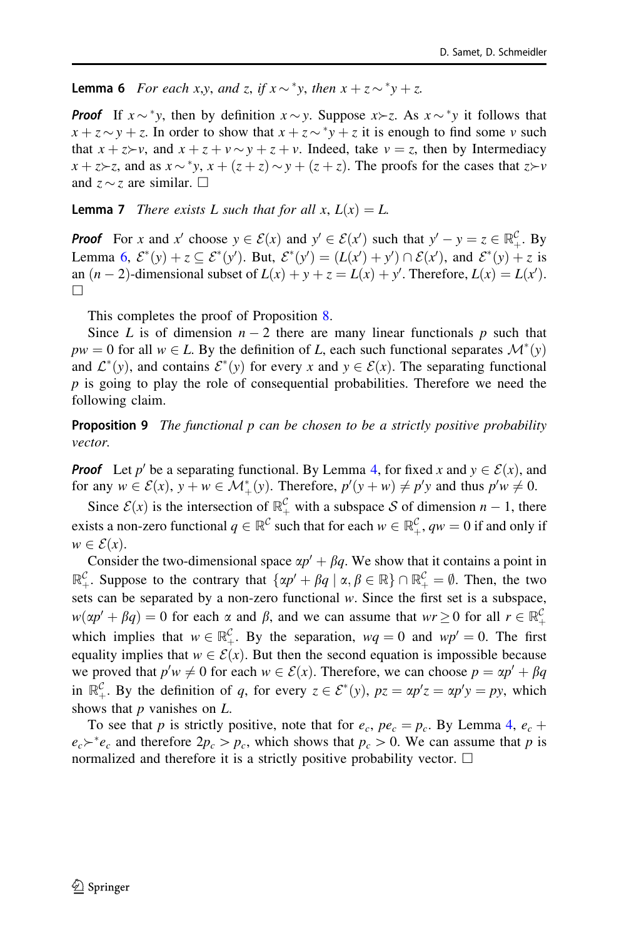**Lemma 6** For each x,y, and z, if  $x \sim^* y$ , then  $x + z \sim^* y + z$ .

**Proof** If  $x \sim y$ , then by definition  $x \sim y$ . Suppose  $x \succ z$ . As  $x \sim y$  it follows that  $x + z \sim y + z$ . In order to show that  $x + z \sim y + z$  it is enough to find some v such that  $x + z \rightarrow v$ , and  $x + z + v \rightarrow v + z + v$ . Indeed, take  $v = z$ , then by Intermediacy  $x + z \geq z$ , and as  $x \sim^* y$ ,  $x + (z + z) \sim y + (z + z)$ . The proofs for the cases that  $z \succ y$ . and  $z \sim z$  are similar.  $\square$ 

**Lemma 7** There exists L such that for all x,  $L(x) = L$ .

**Proof** For x and x' choose  $y \in \mathcal{E}(x)$  and  $y' \in \mathcal{E}(x')$  such that  $y' - y = z \in \mathbb{R}_+^{\mathcal{C}}$ . By Lemma 6,  $\mathcal{E}^*(y) + z \subseteq \mathcal{E}^*(y')$ . But,  $\mathcal{E}^*(y') = (L(x') + y') \cap \mathcal{E}(x')$ , and  $\mathcal{E}^*(y) + z$  is an  $(n-2)$ -dimensional subset of  $L(x) + y + z = L(x) + y'$ . Therefore,  $L(x) = L(x')$ .  $\Box$ 

This completes the proof of Proposition [8.](#page-24-0)

Since L is of dimension  $n - 2$  there are many linear functionals p such that  $pw = 0$  for all  $w \in L$ . By the definition of L, each such functional separates  $\mathcal{M}^*(y)$ and  $\mathcal{L}^*(y)$ , and contains  $\mathcal{E}^*(y)$  for every x and  $y \in \mathcal{E}(x)$ . The separating functional  $p$  is going to play the role of consequential probabilities. Therefore we need the following claim.

**Proposition 9** The functional p can be chosen to be a strictly positive probability vector.

**Proof** Let p' be a separating functional. By Lemma [4](#page-23-0), for fixed x and  $y \in \mathcal{E}(x)$ , and for any  $w \in \mathcal{E}(x)$ ,  $y + w \in \mathcal{M}_{+}^{*}(y)$ . Therefore,  $p'(y + w) \neq p'y$  and thus  $p'w \neq 0$ .

Since  $\mathcal{E}(x)$  is the intersection of  $\mathbb{R}^{\mathcal{C}}_+$  with a subspace S of dimension  $n-1$ , there exists a non-zero functional  $q \in \mathbb{R}^C$  such that for each  $w \in \mathbb{R}^C_+$ ,  $qw = 0$  if and only if  $w \in \mathcal{E}(x)$ .

Consider the two-dimensional space  $\alpha p' + \beta q$ . We show that it contains a point in  $\mathbb{R}^{\mathcal{C}}_+$ . Suppose to the contrary that  $\{\alpha p' + \beta q \mid \alpha, \beta \in \mathbb{R}\} \cap \mathbb{R}^{\mathcal{C}}_+ = \emptyset$ . Then, the two sets can be separated by a non-zero functional  $w$ . Since the first set is a subspace,  $w(\alpha p' + \beta q) = 0$  for each  $\alpha$  and  $\beta$ , and we can assume that  $wr \ge 0$  for all  $r \in \mathbb{R}^{\mathcal{C}}_+$ which implies that  $w \in \mathbb{R}^{\mathcal{C}}_+$ . By the separation,  $wq = 0$  and  $wp' = 0$ . The first equality implies that  $w \in \mathcal{E}(x)$ . But then the second equation is impossible because we proved that  $p'w \neq 0$  for each  $w \in \mathcal{E}(x)$ . Therefore, we can choose  $p = \alpha p' + \beta q$ in  $\mathbb{R}^{\mathcal{C}}_+$ . By the definition of q, for every  $z \in \mathcal{E}^*(y)$ ,  $pz = \alpha p'z = \alpha p'y = py$ , which shows that  $p$  vanishes on  $L$ .

To see that p is strictly positive, note that for  $e_c$ ,  $pe_c = p_c$ . By Lemma [4](#page-23-0),  $e_c$  +  $e_c \rightarrow e_c$  and therefore  $2p_c > p_c$ , which shows that  $p_c > 0$ . We can assume that p is normalized and therefore it is a strictly positive probability vector.  $\Box$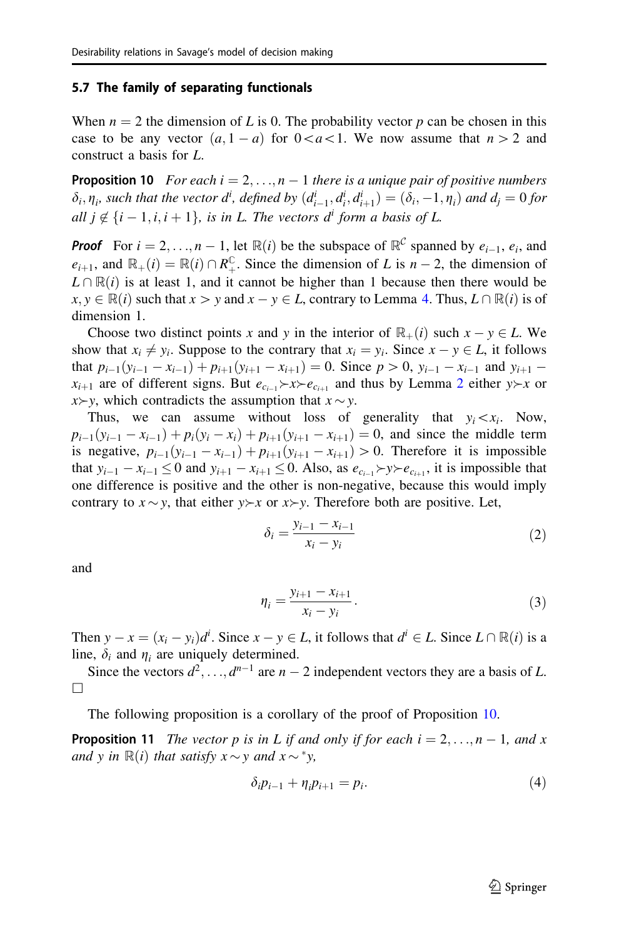#### <span id="page-26-0"></span>5.7 The family of separating functionals

When  $n = 2$  the dimension of L is 0. The probability vector p can be chosen in this case to be any vector  $(a, 1 - a)$  for  $0 < a < 1$ . We now assume that  $n > 2$  and construct a basis for L.

**Proposition 10** For each  $i = 2, ..., n - 1$  there is a unique pair of positive numbers  $\delta_i$ ,  $\eta_i$ , such that the vector  $d^i$ , defined by  $(d_{i-1}^i, d_i^i, d_{i+1}^i) = (\delta_i, -1, \eta_i)$  and  $d_j = 0$  for all  $i \notin \{i-1, i, i+1\}$ , is in L. The vectors  $d^i$  form a basis of L.

**Proof** For  $i = 2, ..., n - 1$ , let  $\mathbb{R}(i)$  be the subspace of  $\mathbb{R}^C$  spanned by  $e_{i-1}, e_i$ , and  $e_{i+1}$ , and  $\mathbb{R}_+(i) = \mathbb{R}(i) \cap R_+^{\mathbb{C}}$ . Since the dimension of L is  $n-2$ , the dimension of  $L \cap \mathbb{R}(i)$  is at least 1, and it cannot be higher than 1 because then there would be  $x, y \in \mathbb{R}(i)$  such that  $x > y$  and  $x - y \in L$ , contrary to Lemma [4.](#page-23-0) Thus,  $L \cap \mathbb{R}(i)$  is of dimension 1.

Choose two distinct points x and y in the interior of  $\mathbb{R}_+(i)$  such  $x - y \in L$ . We show that  $x_i \neq y_i$ . Suppose to the contrary that  $x_i = y_i$ . Since  $x - y \in L$ , it follows that  $p_{i-1}(y_{i-1} - x_{i-1}) + p_{i+1}(y_{i+1} - x_{i+1}) = 0$ . Since  $p > 0$ ,  $y_{i-1} - x_{i-1}$  and  $y_{i+1}$  $x_{i+1}$  are of different signs. But  $e_{c_{i-1}} \rightarrow x \rightarrow e_{c_{i+1}}$  and thus by Lemma [2](#page-20-0) either  $y \rightarrow x$  or  $x \rightarrow y$ , which contradicts the assumption that  $x \sim y$ .

Thus, we can assume without loss of generality that  $y_i\lt x_i$ . Now,  $p_{i-1}(y_{i-1} - x_{i-1}) + p_i(y_i - x_i) + p_{i+1}(y_{i+1} - x_{i+1}) = 0$ , and since the middle term is negative,  $p_{i-1}(y_{i-1} - x_{i-1}) + p_{i+1}(y_{i+1} - x_{i+1}) > 0$ . Therefore it is impossible that  $y_{i-1} - x_{i-1} \leq 0$  and  $y_{i+1} - x_{i+1} \leq 0$ . Also, as  $e_{c_{i-1}} \rightarrow y \rightarrow e_{c_{i+1}}$ , it is impossible that one difference is positive and the other is non-negative, because this would imply contrary to  $x \sim y$ , that either  $y \succ x$  or  $x \succ y$ . Therefore both are positive. Let,

$$
\delta_i = \frac{y_{i-1} - x_{i-1}}{x_i - y_i} \tag{2}
$$

and

$$
\eta_i = \frac{y_{i+1} - x_{i+1}}{x_i - y_i}.
$$
\n(3)

Then  $y - x = (x_i - y_i)d^i$ . Since  $x - y \in L$ , it follows that  $d^i \in L$ . Since  $L \cap \mathbb{R}(i)$  is a line,  $\delta_i$  and  $\eta_i$  are uniquely determined.

Since the vectors  $d^2, \ldots, d^{n-1}$  are  $n-2$  independent vectors they are a basis of L.  $\Box$ 

The following proposition is a corollary of the proof of Proposition 10.

**Proposition 11** The vector p is in L if and only if for each  $i = 2, \ldots, n - 1$ , and x and y in  $\mathbb{R}(i)$  that satisfy  $x \sim y$  and  $x \sim^* y$ ,

$$
\delta_i p_{i-1} + \eta_i p_{i+1} = p_i. \tag{4}
$$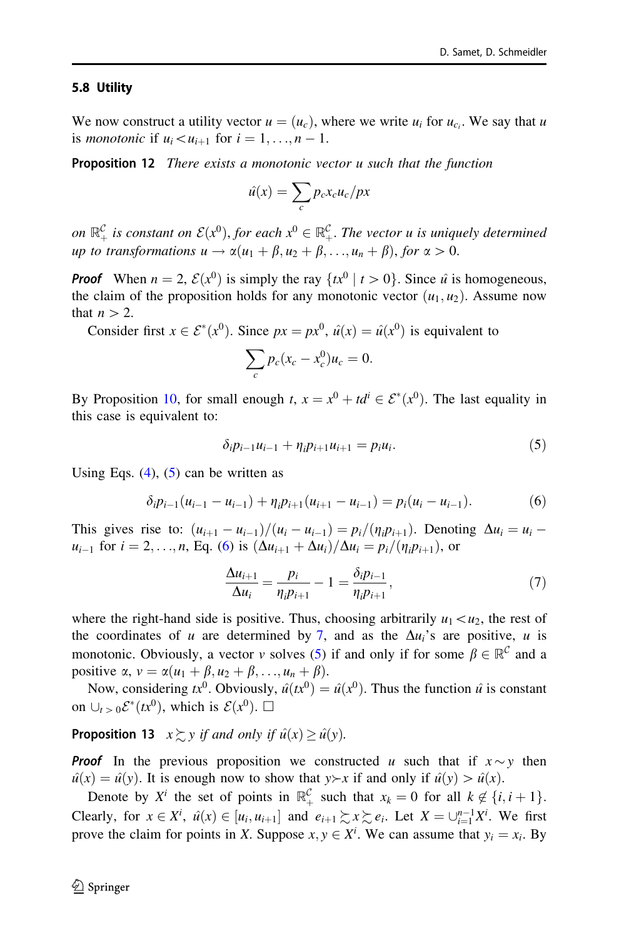### <span id="page-27-0"></span>5.8 Utility

We now construct a utility vector  $u = (u_c)$ , where we write  $u_i$  for  $u_{c_i}$ . We say that u is *monotonic* if  $u_i \lt u_{i+1}$  for  $i = 1, \ldots, n - 1$ .

**Proposition 12** There exists a monotonic vector u such that the function

$$
\hat{u}(x) = \sum_c p_c x_c u_c / px
$$

on  $\mathbb{R}_+^{\mathcal{C}}$  is constant on  $\mathcal{E}(x^0)$ , for each  $x^0 \in \mathbb{R}_+^{\mathcal{C}}$ . The vector u is uniquely determined up to transformations  $u \to \alpha(u_1 + \beta, u_2 + \beta, \ldots, u_n + \beta)$ , for  $\alpha > 0$ .

**Proof** When  $n = 2$ ,  $\mathcal{E}(x^0)$  is simply the ray  $\{tx^0 | t > 0\}$ . Since  $\hat{u}$  is homogeneous, the claim of the proposition holds for any monotonic vector  $(u_1, u_2)$ . Assume now that  $n>2$ .

Consider first  $x \in \mathcal{E}^*(x^0)$ . Since  $px = px^0$ ,  $\hat{u}(x) = \hat{u}(x^0)$  is equivalent to

$$
\sum_{c} p_c(x_c - x_c^0)u_c = 0.
$$

By Proposition [10,](#page-26-0) for small enough t,  $x = x^0 + td^i \in \mathcal{E}^*(x^0)$ . The last equality in this case is equivalent to:

$$
\delta_i p_{i-1} u_{i-1} + \eta_i p_{i+1} u_{i+1} = p_i u_i.
$$
 (5)

Using Eqs.  $(4)$  $(4)$ ,  $(5)$  can be written as

$$
\delta_i p_{i-1}(u_{i-1} - u_{i-1}) + \eta_i p_{i+1}(u_{i+1} - u_{i-1}) = p_i(u_i - u_{i-1}).
$$
 (6)

This gives rise to:  $(u_{i+1} - u_{i-1})/(u_i - u_{i-1}) = p_i/(\eta_i p_{i+1})$ . Denoting  $\Delta u_i = u_i$  $u_{i-1}$  for  $i = 2, ..., n$ , Eq. (6) is  $(\Delta u_{i+1} + \Delta u_i)/\Delta u_i = p_i/(\eta_i p_{i+1})$ , or

$$
\frac{\Delta u_{i+1}}{\Delta u_i} = \frac{p_i}{\eta_i p_{i+1}} - 1 = \frac{\delta_i p_{i-1}}{\eta_i p_{i+1}},\tag{7}
$$

where the right-hand side is positive. Thus, choosing arbitrarily  $u_1 \lt u_2$ , the rest of the coordinates of u are determined by 7, and as the  $\Delta u_i$ 's are positive, u is monotonic. Obviously, a vector v solves (5) if and only if for some  $\beta \in \mathbb{R}^{\mathcal{C}}$  and a positive  $\alpha$ ,  $v = \alpha(u_1 + \beta, u_2 + \beta, \ldots, u_n + \beta)$ .

Now, considering  $tx^0$ . Obviously,  $\hat{u}(tx^0) = \hat{u}(x^0)$ . Thus the function  $\hat{u}$  is constant on  $\bigcup_{t > 0} \mathcal{E}^*(tx^0)$ , which is  $\mathcal{E}(x^0)$ .  $\square$ 

# **Proposition 13**  $x \succeq y$  if and only if  $\hat{u}(x) \geq \hat{u}(y)$ .

**Proof** In the previous proposition we constructed u such that if  $x \sim y$  then  $\hat{u}(x) = \hat{u}(y)$ . It is enough now to show that  $y \rightarrow x$  if and only if  $\hat{u}(y) > \hat{u}(x)$ .

Denote by  $X^i$  the set of points in  $\mathbb{R}_+^{\mathcal{C}}$  such that  $x_k = 0$  for all  $k \notin \{i, i + 1\}$ . Clearly, for  $x \in X^i$ ,  $\hat{u}(x) \in [u_i, u_{i+1}]$  and  $e_{i+1} \succsim x \succsim e_i$ . Let  $X = \bigcup_{i=1}^{n-1} X^i$ . We first prove the claim for points in X. Suppose  $x, y \in X^i$ . We can assume that  $y_i = x_i$ . By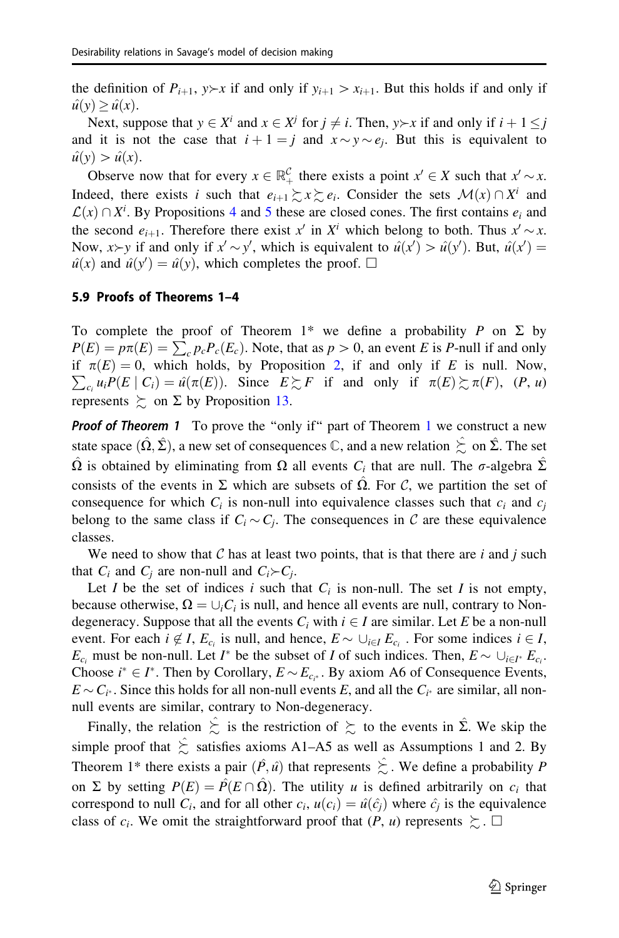the definition of  $P_{i+1}$ ,  $y \rightarrow x$  if and only if  $y_{i+1} > x_{i+1}$ . But this holds if and only if  $\hat{u}(y) \geq \hat{u}(x)$ .

Next, suppose that  $y \in X^i$  and  $x \in X^j$  for  $j \neq i$ . Then,  $y \succ x$  if and only if  $i + 1 \leq j$ and it is not the case that  $i + 1 = j$  and  $x \sim y \sim e_i$ . But this is equivalent to  $\hat{u}(y) > \hat{u}(x)$ .

Observe now that for every  $x \in \mathbb{R}^{\mathcal{C}}_+$  there exists a point  $x' \in X$  such that  $x' \sim x$ . Indeed, there exists i such that  $e_{i+1} \succsim x \succsim e_i$ . Consider the sets  $\mathcal{M}(x) \cap X^i$  and  $\mathcal{L}(x) \cap X^i$ . By Propositions [4](#page-21-0) and [5](#page-22-0) these are closed cones. The first contains  $e_i$  and the second  $e_{i+1}$ . Therefore there exist x' in X<sup>i</sup> which belong to both. Thus  $x' \sim x$ . Now,  $x \rightarrow y$  if and only if  $x' \sim y'$ , which is equivalent to  $\hat{u}(x') > \hat{u}(y')$ . But,  $\hat{u}(x') =$  $\hat{u}(x)$  and  $\hat{u}(y') = \hat{u}(y)$ , which completes the proof.  $\Box$ 

### 5.9 Proofs of Theorems 1–4

To complete the proof of Theorem 1\* we define a probability P on  $\Sigma$  by  $P(E) = p\pi(E) = \sum_c p_c P_c(E_c)$ . Note, that as  $p > 0$ , an event E is P-null if and only if  $\pi(E) = 0$ , which holds, by Proposition [2,](#page-19-0) if and only if E is null. Now,<br>  $\sum_{\mu \in P(E|C)} \mu(\pi(E)) = \hat{v}(\pi(E))$ . Since  $E \succeq E$  if and only if  $\pi(E) \succeq \pi(E)$ . (P i)  $\sum_{c_i} u_i P(E \mid C_i) = \hat{u}(\pi(E)).$  Since  $E \succsim F$  if and only if  $\pi(E) \succsim \pi(F)$ ,  $(P, u)$ represents  $\succeq$  on  $\Sigma$  by Proposition [13](#page-27-0).

**Proof of Theorem [1](#page-13-0)** To prove the "only if" part of Theorem 1 we construct a new state space  $(\hat{\Omega}, \hat{\Sigma})$ , a new set of consequences  $\mathbb{C}$ , and a new relation  $\hat{\Sigma}$  on  $\hat{\Sigma}$ . The set  $\hat{\Omega}$  is obtained by eliminating from  $\Omega$  all events  $C_i$  that are null. The  $\sigma$ -algebra  $\hat{\Sigma}$ consists of the events in  $\Sigma$  which are subsets of  $\Omega$ . For C, we partition the set of consequence for which  $C_i$  is non-null into equivalence classes such that  $c_i$  and  $c_j$ belong to the same class if  $C_i \sim C_j$ . The consequences in C are these equivalence classes.

We need to show that  $\mathcal C$  has at least two points, that is that there are i and j such that  $C_i$  and  $C_j$  are non-null and  $C_i \rightarrow C_j$ .

Let I be the set of indices i such that  $C_i$  is non-null. The set I is not empty, because otherwise,  $\Omega = \bigcup_i C_i$  is null, and hence all events are null, contrary to Nondegeneracy. Suppose that all the events  $C_i$  with  $i \in I$  are similar. Let E be a non-null event. For each  $i \notin I$ ,  $E_{c_i}$  is null, and hence,  $E \sim \bigcup_{i \in I} E_{c_i}$ . For some indices  $i \in I$ ,  $E_{c_i}$  must be non-null. Let  $I^*$  be the subset of I of such indices. Then,  $E \sim \bigcup_{i \in I^*} E_{c_i}$ . Choose  $i^* \in I^*$ . Then by Corollary,  $E \sim E_{c_i^*}$ . By axiom A6 of Consequence Events,  $E \sim C_{i^*}$ . Since this holds for all non-null events E, and all the  $C_{i^*}$  are similar, all nonnull events are similar, contrary to Non-degeneracy.

Finally, the relation  $\hat{\xi}$  is the restriction of  $\succeq$  to the events in  $\hat{\Sigma}$ . We skip the simple proof that  $\hat{\Sigma}$  satisfies axioms A1–A5 as well as Assumptions 1 and 2. By Theorem 1\* there exists a pair  $(\hat{P}, \hat{u})$  that represents  $\hat{\Sigma}$ . We define a probability P on  $\Sigma$  by setting  $P(E) = \hat{P}(E \cap \hat{\Omega})$ . The utility u is defined arbitrarily on  $c_i$  that correspond to null  $C_i$ , and for all other  $c_i$ ,  $u(c_i) = \hat{u}(\hat{c}_i)$  where  $\hat{c}_i$  is the equivalence class of  $c_i$ . We omit the straightforward proof that  $(P, u)$  represents  $\succeq$ .  $\Box$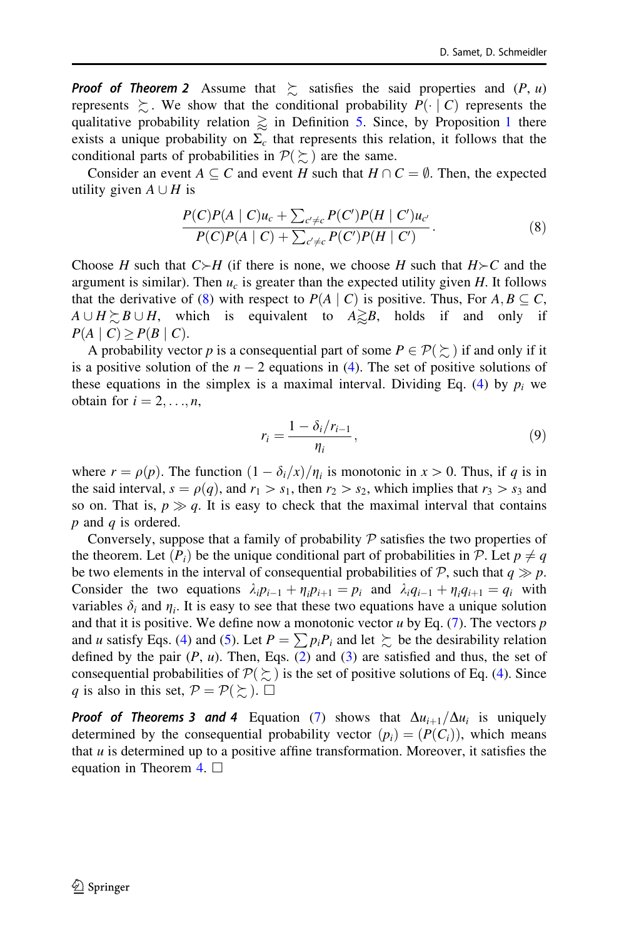**Proof of Theorem 2** Assume that  $\geq$  satisfies the said properties and  $(P, u)$ represents  $\sum$ . We show that the conditional probability  $P(\cdot | C)$  represents the qualitative probability relation  $\gtrsim$  in Definition [5.](#page-18-0) Since, by Proposition [1](#page-18-0) there exists a unique probability on  $\Sigma_c$  that represents this relation, it follows that the conditional parts of probabilities in  $P(\Sigma)$  are the same.

Consider an event  $A \subseteq C$  and event H such that  $H \cap C = \emptyset$ . Then, the expected utility given  $A \cup H$  is

$$
\frac{P(C)P(A \mid C)u_{c} + \sum_{c' \neq c} P(C')P(H \mid C')u_{c'}}{P(C)P(A \mid C) + \sum_{c' \neq c} P(C')P(H \mid C')}.
$$
\n(8)

Choose H such that  $C \rightarrow H$  (if there is none, we choose H such that  $H \rightarrow C$  and the argument is similar). Then  $u_c$  is greater than the expected utility given H. It follows that the derivative of (8) with respect to  $P(A | C)$  is positive. Thus, For  $A, B \subseteq C$ ,  $A \cup H \succeq B \cup H$ , which is equivalent to  $A \gtrsim B$ , holds if and only if  $P(A | C) \geq P(B | C).$ 

A probability vector p is a consequential part of some  $P \in \mathcal{P}(\succeq)$  if and only if it is a positive solution of the  $n - 2$  equations in [\(4](#page-26-0)). The set of positive solutions of these equations in the simplex is a maximal interval. Dividing Eq. ([4\)](#page-26-0) by  $p_i$  we obtain for  $i = 2, \ldots, n$ ,

$$
r_i = \frac{1 - \delta_i / r_{i-1}}{\eta_i},\tag{9}
$$

where  $r = \rho(p)$ . The function  $(1 - \delta_i/x)/\eta_i$  is monotonic in  $x > 0$ . Thus, if q is in the said interval,  $s = \rho(q)$ , and  $r_1 > s_1$ , then  $r_2 > s_2$ , which implies that  $r_3 > s_3$  and so on. That is,  $p \gg q$ . It is easy to check that the maximal interval that contains  $p$  and  $q$  is ordered.

Conversely, suppose that a family of probability  $P$  satisfies the two properties of the theorem. Let  $(P_i)$  be the unique conditional part of probabilities in P. Let  $p \neq q$ be two elements in the interval of consequential probabilities of  $P$ , such that  $q \gg p$ . Consider the two equations  $\lambda_i p_{i-1} + \eta_i p_{i+1} = p_i$  and  $\lambda_i q_{i-1} + \eta_i q_{i+1} = q_i$  with variables  $\delta_i$  and  $\eta_i$ . It is easy to see that these two equations have a unique solution and that it is positive. We define now a monotonic vector  $u$  by Eq. ([7\)](#page-27-0). The vectors  $p$ and u satisfy Eqs. ([4](#page-26-0)) and [\(5](#page-27-0)). Let  $P = \sum p_i P_i$  and let  $\succsim$  be the desirability relation defined by the pair  $(P, u)$ . Then, Eqs.  $(2)$  $(2)$  and  $(3)$  $(3)$  are satisfied and thus, the set of consequential probabilities of  $P(\succsim)$  is the set of positive solutions of Eq. ([4\)](#page-26-0). Since q is also in this set,  $P = P(\Sigma)$ .  $\Box$ 

**Proof of Theorems 3 and 4** Equation [\(7](#page-27-0)) shows that  $\Delta u_{i+1}/\Delta u_i$  is uniquely determined by the consequential probability vector  $(p_i) = (P(C_i))$ , which means that  $u$  is determined up to a positive affine transformation. Moreover, it satisfies the equation in Theorem [4](#page-15-0).  $\Box$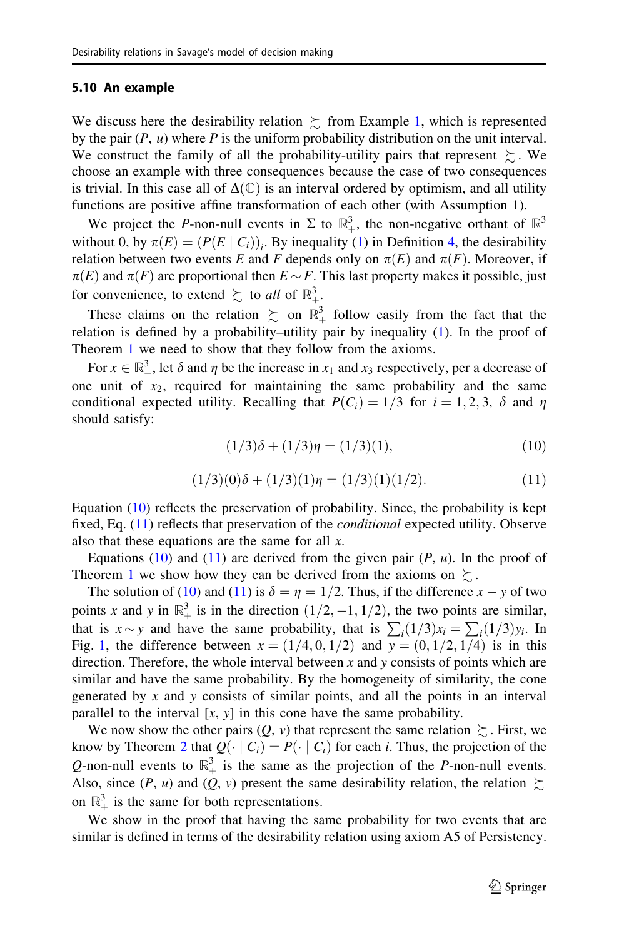#### <span id="page-30-0"></span>5.10 An example

We discuss here the desirability relation  $\geq$  from Example [1,](#page-13-0) which is represented by the pair  $(P, u)$  where P is the uniform probability distribution on the unit interval. We construct the family of all the probability-utility pairs that represent  $\succeq$ . We choose an example with three consequences because the case of two consequences is trivial. In this case all of  $\Delta(\mathbb{C})$  is an interval ordered by optimism, and all utility functions are positive affine transformation of each other (with Assumption 1).

We project the P-non-null events in  $\Sigma$  to  $\mathbb{R}^3_+$ , the non-negative orthant of  $\mathbb{R}^3$ without 0, by  $\pi(E) = (P(E \mid C_i))_i$ . By inequality [\(1](#page-12-0)) in Definition [4](#page-12-0), the desirability relation between two events E and F depends only on  $\pi(E)$  and  $\pi(F)$ . Moreover, if  $\pi(E)$  and  $\pi(F)$  are proportional then  $E \sim F$ . This last property makes it possible, just for convenience, to extend  $\succsim$  to all of  $\mathbb{R}^3_+$ .

These claims on the relation  $\sum_{n=1}^{\infty}$  on  $\mathbb{R}^3_+$  follow easily from the fact that the relation is defined by a probability–utility pair by inequality ([1\)](#page-12-0). In the proof of Theorem [1](#page-13-0) we need to show that they follow from the axioms.

For  $x \in \mathbb{R}^3_+$ , let  $\delta$  and  $\eta$  be the increase in  $x_1$  and  $x_3$  respectively, per a decrease of one unit of  $x_2$ , required for maintaining the same probability and the same conditional expected utility. Recalling that  $P(C_i) = 1/3$  for  $i = 1, 2, 3, \delta$  and  $\eta$ should satisfy:

$$
(1/3)\delta + (1/3)\eta = (1/3)(1),\tag{10}
$$

$$
(1/3)(0)\delta + (1/3)(1)\eta = (1/3)(1)(1/2). \tag{11}
$$

Equation  $(10)$  reflects the preservation of probability. Since, the probability is kept fixed, Eq. (11) reflects that preservation of the conditional expected utility. Observe also that these equations are the same for all  $x$ .

Equations (10) and (11) are derived from the given pair  $(P, u)$ . In the proof of Theorem [1](#page-13-0) we show how they can be derived from the axioms on  $\succeq$ .

The solution of (10) and (11) is  $\delta = \eta = 1/2$ . Thus, if the difference  $x - y$  of two points x and y in  $\mathbb{R}^3_+$  is in the direction  $(1/2, -1, 1/2)$ , the two points are similar, that is  $x \sim y$  and have the same probability, that is  $\sum_i (1/3)x_i = \sum_i (1/3)y_i$ . In Fig. [1](#page-31-0), the difference between  $x = (1/4, 0, 1/2)$  and  $y = (0, 1/2, 1/4)$  is in this direction. Therefore, the whole interval between  $x$  and  $y$  consists of points which are similar and have the same probability. By the homogeneity of similarity, the cone generated by  $x$  and  $y$  consists of similar points, and all the points in an interval parallel to the interval  $[x, y]$  in this cone have the same probability.

We now show the other pairs  $(Q, v)$  that represent the same relation  $\succeq$ . First, we know by Theorem [2](#page-14-0) that  $Q(\cdot \mid C_i) = P(\cdot \mid C_i)$  for each *i*. Thus, the projection of the Q-non-null events to  $\mathbb{R}^3_+$  is the same as the projection of the P-non-null events. Also, since  $(P, u)$  and  $(Q, v)$  present the same desirability relation, the relation  $\succsim$ on  $\mathbb{R}^3_+$  is the same for both representations.

We show in the proof that having the same probability for two events that are similar is defined in terms of the desirability relation using axiom A5 of Persistency.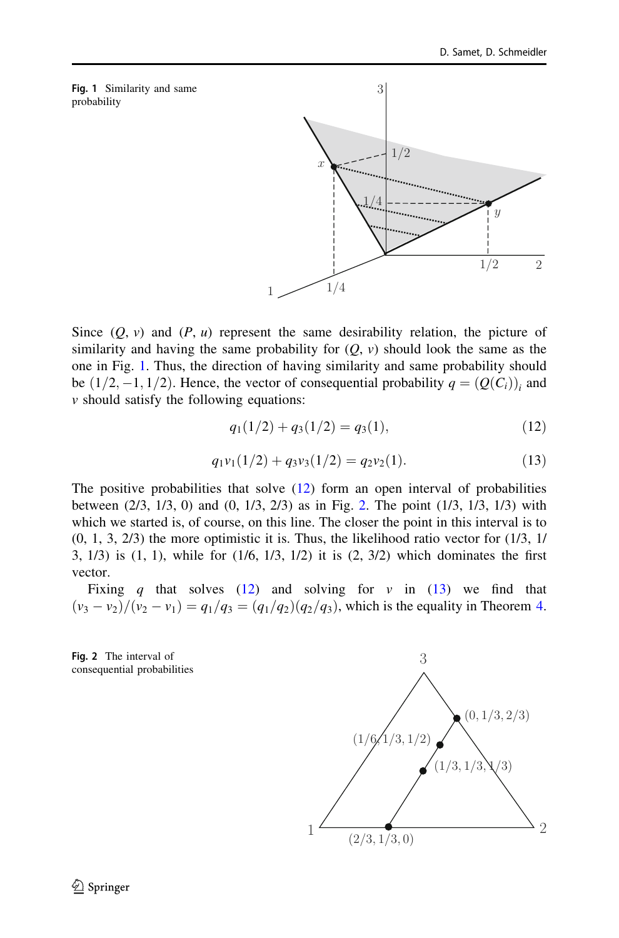<span id="page-31-0"></span>



Since  $(0, v)$  and  $(P, u)$  represent the same desirability relation, the picture of similarity and having the same probability for  $(Q, v)$  should look the same as the one in Fig. 1. Thus, the direction of having similarity and same probability should be  $(1/2, -1, 1/2)$ . Hence, the vector of consequential probability  $q = (Q(C_i))$ , and  $\nu$  should satisfy the following equations:

$$
q_1(1/2) + q_3(1/2) = q_3(1),
$$
\n(12)

$$
q_1v_1(1/2) + q_3v_3(1/2) = q_2v_2(1). \tag{13}
$$

The positive probabilities that solve  $(12)$  form an open interval of probabilities between (2/3, 1/3, 0) and (0, 1/3, 2/3) as in Fig. 2. The point (1/3, 1/3, 1/3) with which we started is, of course, on this line. The closer the point in this interval is to (0, 1, 3, 2/3) the more optimistic it is. Thus, the likelihood ratio vector for (1/3, 1/ 3, 1/3) is (1, 1), while for (1/6, 1/3, 1/2) it is (2, 3/2) which dominates the first vector.

Fixing q that solves  $(12)$  and solving for v in  $(13)$  we find that  $(v_3 - v_2)/(v_2 - v_1) = q_1/q_3 = (q_1/q_2)(q_2/q_3)$ , which is the equality in Theorem [4.](#page-15-0)